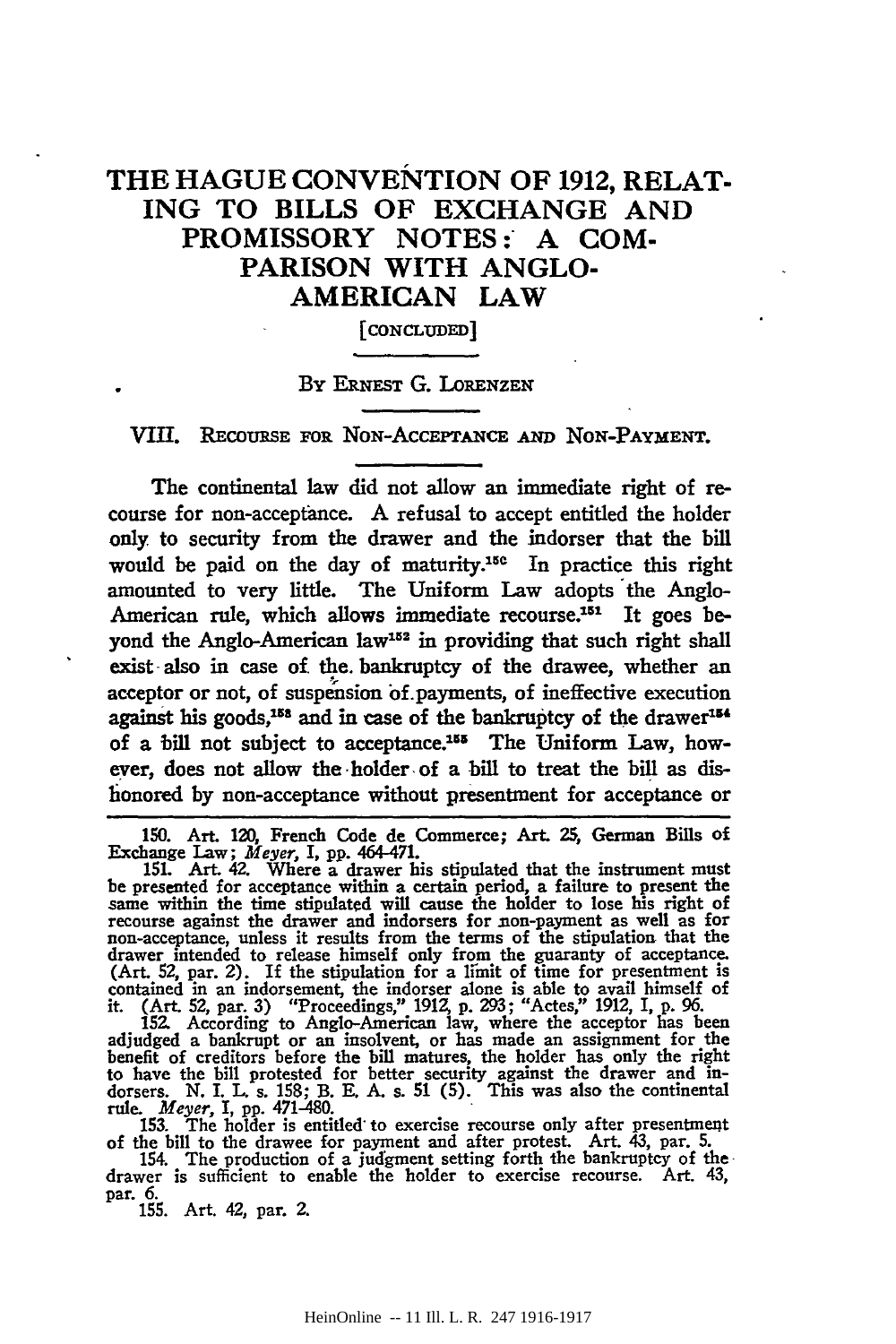# THE HAGUE CONVENTION OF 1912, RELAT-ING TO BILLS OF EXCHANGE AND PROMISSORY NOTES: A COM-PARISON WITH ANGLO-AMERICAN LAW

[CONCLUDED]

#### BY ERNEST G. LoRENZEN

VIII. REcoURSE FOR NoN-ACCEPTANCE AND NoN-PAYMENT.

The continental law did not allow an immediate right of recourse for non-acceptance. A refusal to accept entitled the holder only to security from the drawer and the indorser that the bill would be paid on the day of maturity.<sup>15c</sup> In practice this right amounted to very little. The Uniform Law adopts the Anglo-American rule, which allows immediate recourse.<sup>151</sup> It goes beyond the Anglo-American law<sup>152</sup> in providing that such right shall exist also in case of the bankruptcy of the drawee, whether an acceptor or not, of suspension of. payments, of ineffective execution against his goods,<sup>158</sup> and in case of the bankruptcy of the drawer<sup>154</sup> of a bill not subject to acceptance.<sup>155</sup> The Uniform Law, however, does not allow the ·holder- of a bill to treat the bill as dishonored by non-acceptance without presentment for acceptance or

150. Art. 120, French Code de Commerce; Art. 25, German Bills of Exchange Law; *Meyer,* I, pp. 464-471.

151. Art. 42. Where a drawer his stipulated that the instrument must be presented for acceptance within a certain period, a failure to present the same within the time stipulated will cause the holder to lose his right of recourse against the drawer and indorsers for non-payment as well as non-acceptance, unless it results from the terms of the stipulation that the drawer intended to release himself only from the guaranty of acceptance.<br>(Art. 52, par. 2). If the stipulation for a limit of time for presentment is contained in an indorsement, the indorser alone is able to avail himself it. (Art. 52, par. 3) "Proceedings," 1912, p. 293; "Actes," 1912, I, p. 96.

152. According to Anglo-American law, where the acceptor has been adjudged a bankrupt or an insolvent, or has made an assignment for the benefit of creditors before the bill matures, the holder has only the right to have the bill protested for better security against the drawer and in-dorsers. N. I. L. s. 158; B. E. A. s. 51 (5). This was also the continental

rule. *Meyer*, I, pp. 471-480.<br>153. The holder is entitled to exercise recourse only after presentment<br>of the bill to the drawee for payment and after protest. Art. 43, par. 5.

154. The production of a judgment setting forth the bankruptcy of thedrawer is sufficient to enable the holder to exercise recourse. Art. 43, par. 6. par. 6.<br>155. Art. 42, par. 2.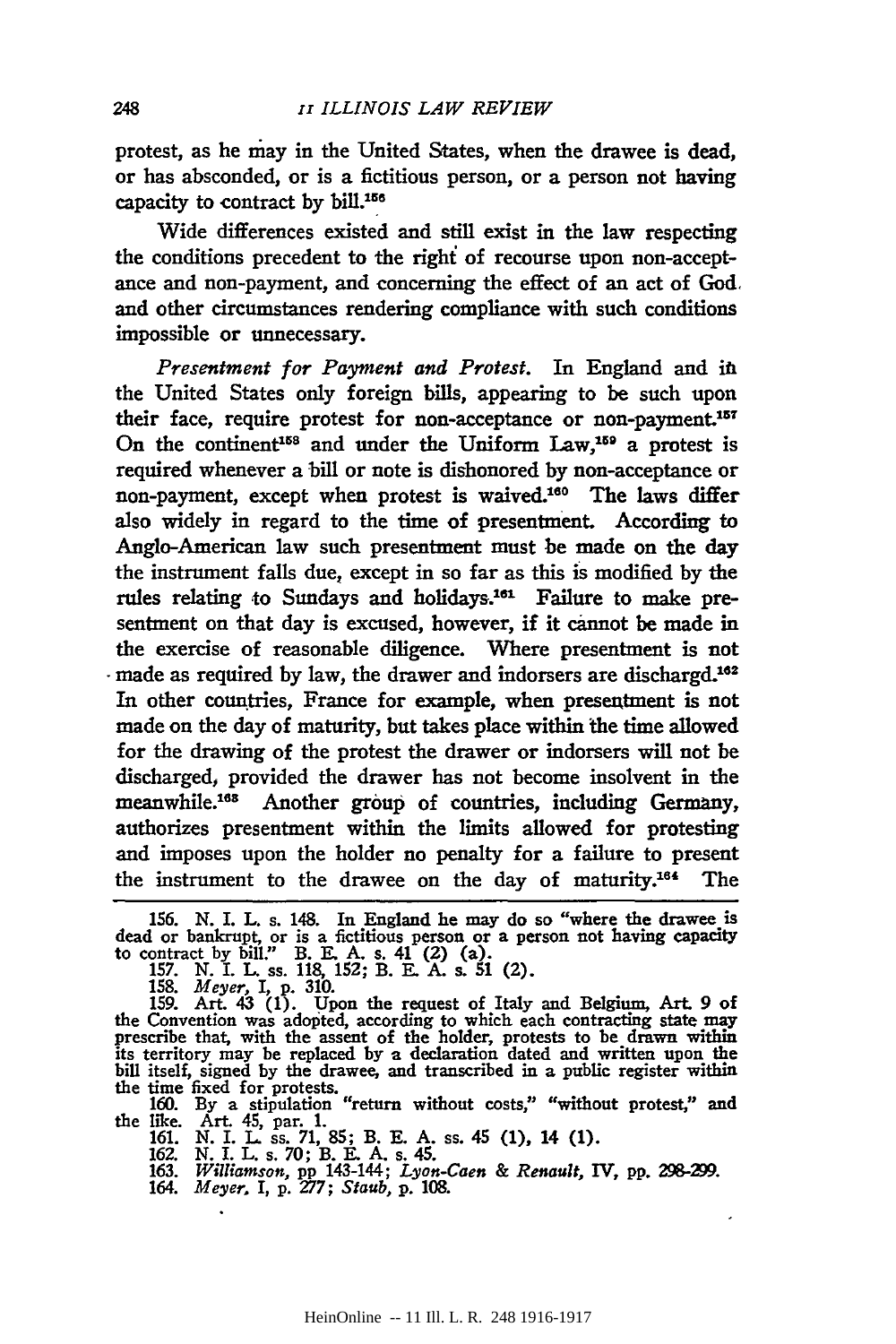protest, as he niay in the United States, when the drawee is dead, or has absconded, or is a fictitious person, or a person not having capacity to contract by bill.<sup>156</sup>

Wide differences existed and still exist in the law respecting the conditions precedent to the right of recourse upon non-acceptance and non-payment, and concerning the effect of an act of God. and other circumstances rendering compliance with such conditions impossible or unnecessary.

*Presentment for Payment and Protest.* In England and in the United States only foreign bills, appearing to be such upon their face, require protest for non-acceptance or non-payment.<sup>157</sup> On the continent<sup>158</sup> and under the Uniform Law,<sup>159</sup> a protest is required whenever a bill or note is dishonored by non-acceptance or non-payment, except when protest is waived.180 The laws differ also widely in regard to the time of presentment. According to Anglo-American law such presentment must be made on the day the instrument falls due, except in so far as this is modified by the rules relating to Sundays and holidays.<sup>161</sup> Failure to make presentment on that day is excused, however, if it cannot be made in the exercise of reasonable diligence. Where presentment is not made as required by law, the drawer and indorsers are dischargd.<sup>162</sup> In other countries, France for example, when presentment is not made on the day of maturity, but takes place within the time allowed for the drawing of the protest the drawer or indorsers will not be discharged, provided the drawer has not become insolvent in the meanwhile.<sup>168</sup> Another group of countries, including Germany, authorizes presentment within the limits allowed for protesting and imposes upon the holder no penalty for a failure to present the instrument to the drawee on the day of maturity.<sup>164</sup> The

156. N. I. L. s. 148. In England he may do so "where the drawee is dead or bankrupt, or is a fictitious person or a person not having capacity<br>to contract by bill." B. E. A. s. 41 (2) (a).<br>157. N. I. L. ss. 118, 152; B. E. A. s. 51 (2).

158. *Meyer, I,* p. 310. 159. Art. 43 (1). Upon the request of Italy and Belgium, Art 9 of the Convention was adopted, according to which each contracting state may prescribe that, with the assent of the holder, protests to be drawn within its territory may be replaced by a declaration dated and written upon the

the time fixed for protests.<br>160. By a stipulation "return without costs," "without protest," and the like. Art. 45, par. 1. 161. N. I. L. ss. 71, 85; B. E. A. ss. 45 (1), 14 (1).

164. *Meyer. I,* p. *277; Staub,* p. 108.

<sup>162.</sup> N. I. L. s. 70; B. E. A. s. 45. 163. *Williamson,* pp 143-144; *Lyon-Caen* & *Renault,* IV, pp. *298-Y.J.*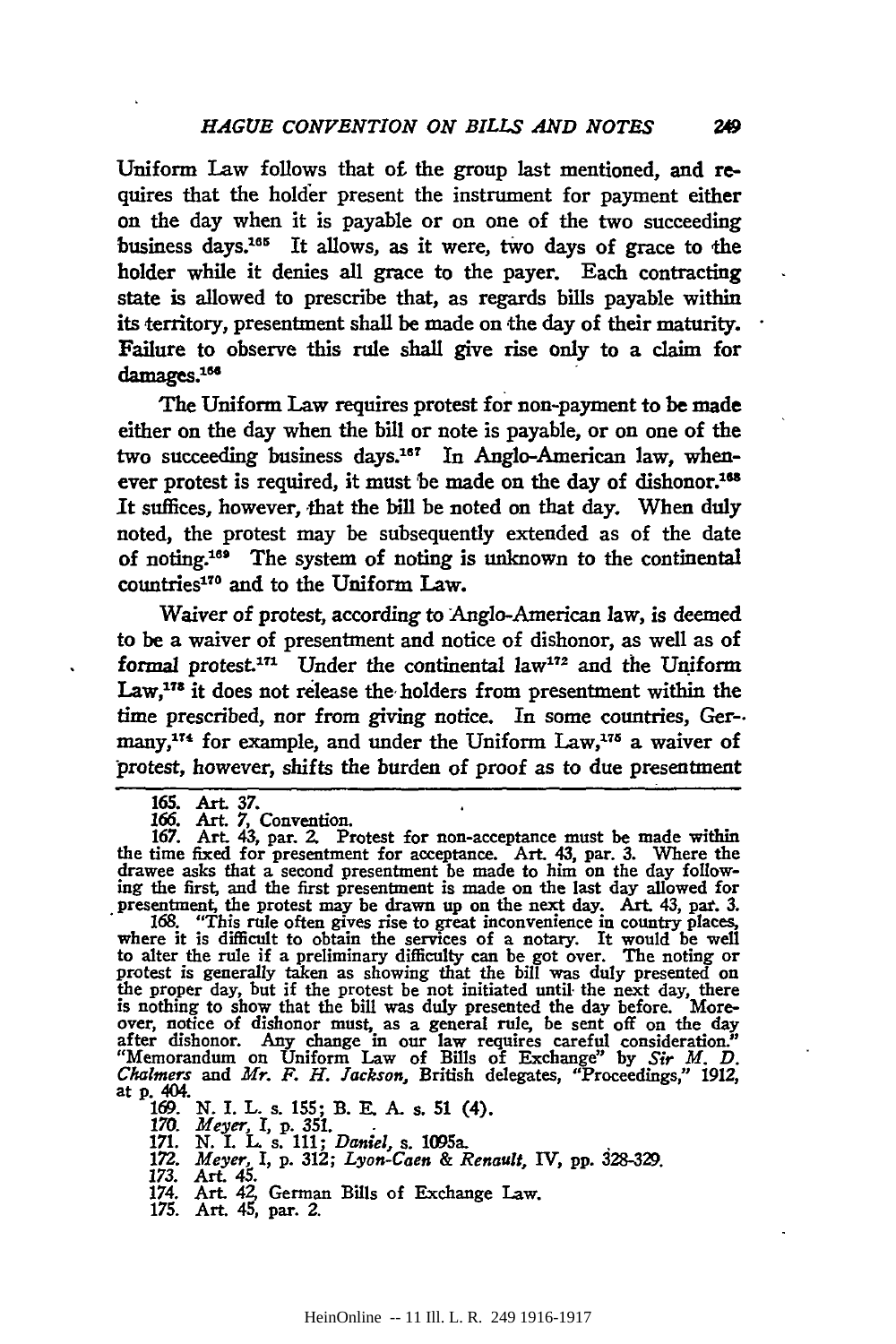Uniform Law follows that o£ the group last mentioned, and requires that the holder present the instrument for payment either on the day when it is payable or on one of the two succeeding business days.<sup>165</sup> It allows, as it were, two days of grace to the holder while it denies all grace to the payer. Each contracting state is allowed to prescribe that, as regards bills payable within its territory, presentment shall be made on the day of their maturity. Failure to observe this rule shall give rise only to a claim for damages.<sup>166</sup>

The Uniform Law requires protest for non-payment to **be made**  either on the day when the bill or note is payable, or on one of the two succeeding business days.187 In Anglo-American law, whenever protest is required, it must be made on the day of dishonor.<sup>168</sup> It suffices, however, that the bill be noted on that day. When duly noted, the protest may be subsequently extended as of the date of noting.161 The system of noting is unknown to the continental countries<sup>170</sup> and to the Uniform Law.

Waiver of protest, according to Anglo-American law, is deemed to be a waiver of presentment and notice of dishonor, as well as of formal protest.<sup>171</sup> Under the continental law<sup>172</sup> and the Uniform Law,<sup>178</sup> it does not release the holders from presentment within the time prescribed, nor from giving notice. In some countries, Ger-. many,<sup>174</sup> for example, and under the Uniform Law,<sup>175</sup> a waiver of protest, however, shifts the burden of proof as to due presentment

to alter the rule if a preliminary difficulty can be got over. The noting or protest is generally taken as showing that the bill was duly presented on the proper day, but if the protest be not initiated until the next day, is nothing to show that the bill was duly presented the day before. More-over, notice of dishonor must, as a general rule, be sent off on the day after dishonor. Any change in our law requires careful consideration." "Memorandum on Uniform Law of Bills of Exchange" by *Sir M. D. Chalmers* and *Mr. F. H. Jackson,* British delegates, "Proceedings," 1912, at p. 404.

169. N. I. L. s. 155; B. E. A. s. 51 (4).<br>170. *Meyer*, I, p. 351.<br>171. N. I. L. s. 111; *Daniel*, s. 1095a.<br>172. *Meyer*, I, p. 312; *Lyon-Caen & Renault*, IV, pp. 328-329.<br>173. Art. 45. German Bills of Exchange Law.<br>174.

<sup>165.</sup> Art. 37.

<sup>166.</sup> Art. 7, Convention.

<sup>167.</sup> Art. 43, par. 2. Protest for non-acceptance must be made within the time fixed for presentment for acceptance. Art. 43, par. 3. Where the drawee asks that a second presentment be made to him on the day following the first, and the first presentment is made on the last day allowed for presentment, the protest may be drawn up on the next day. Art. 43, par. 3.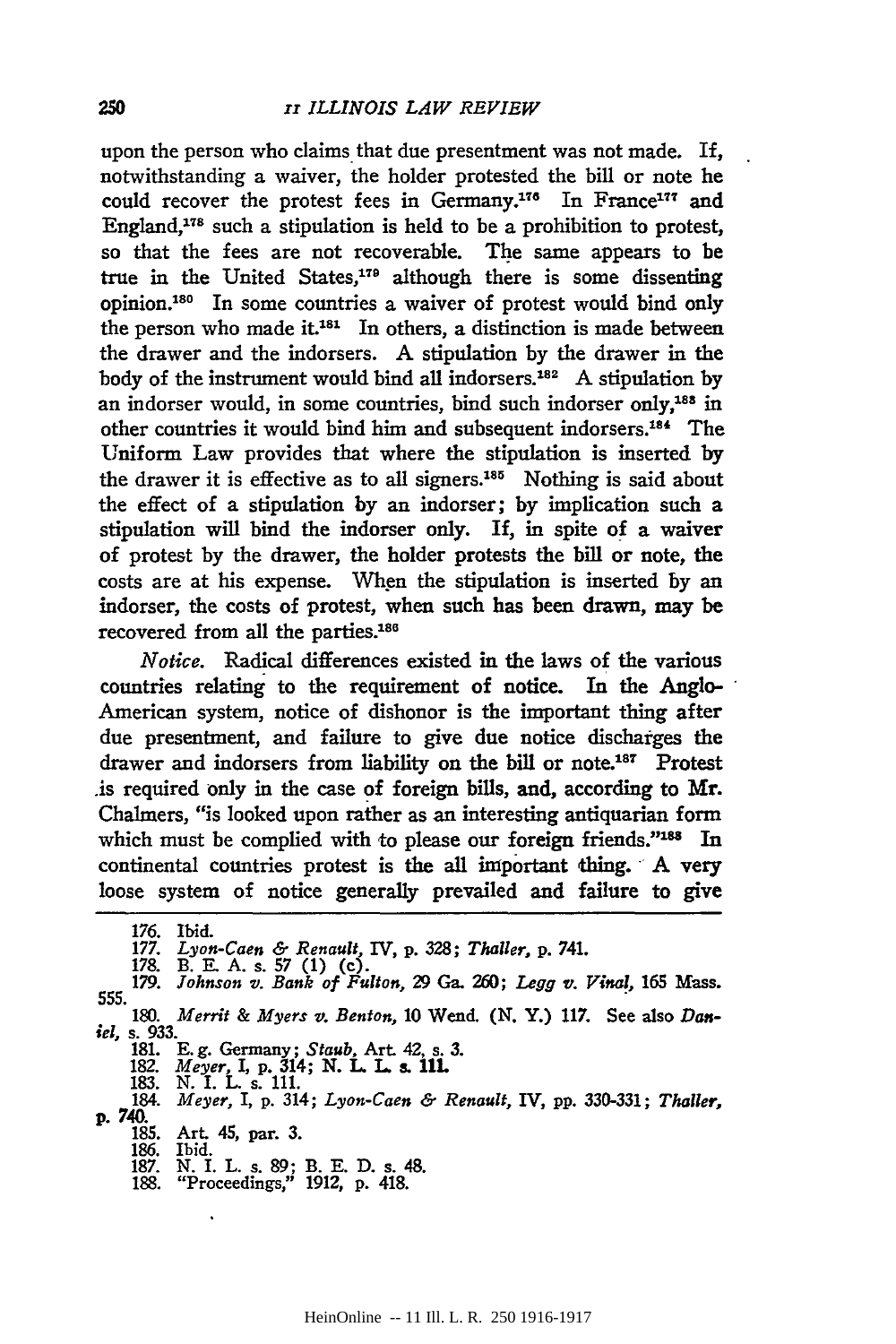upon the person who claims that due presentment was not made. If, notwithstanding a waiver, the holder protested the bill or note he could recover the protest fees in Germany.<sup>176</sup> In France<sup>177</sup> and England,118 such a stipulation is held to be a prohibition to protest, so that the fees are not recoverable. The same appears to be true in the United States/79 although there is some dissenting opinion.180 In some countries a waiver of protest would bind only the person who made it. $181$  In others, a distinction is made between the drawer and the indorsers. A stipulation by the drawer in the body of the instrument would bind all indorsers.182 A stipulation by an indorser would, in some countries, bind such indorser only,<sup>183</sup> in other countries it would bind him and subsequent indorsers.<sup>184</sup> The Uniform Law provides that where the stipulation is inserted by the drawer it is effective as to all signers.185 Nothing is said about the effect of a stipulation by an indorser; by implication such a stipulation will bind the indorser only. If, in spite of a waiver of protest by the drawer, the holder protests the bill or note, the costs are at his expense. When the stipulation is inserted by an indorser, the costs of protest, when such has been drawn, may be recovered from all the parties.<sup>186</sup>

*Notice.* Radical differences existed in the laws of the various countries relating to the requirement of notice. In the Anglo-American system, notice of dishonor is the important thing after due presentment, and failure to give due notice discharges the drawer and indorsers from liability on the bill or note.<sup>187</sup> Protest .is required only in the case of foreign bills, and, according to Mr. Chalmers, "is looked upon rather as an interesting antiquarian form which must be complied with to please our foreign friends."<sup>188</sup> In continental countries protest is the all important thing. A very loose system of notice generally prevailed and failure to give

176. Ibid. 177. *Lyon-Caen* & *Renault,* IV, p. *328; Thaller,* p. 741.

181. E. g. Germany; *Staub,* Art 42, s. 3. 182. *Meyer,* I, p. 314; N. L L s. llL 183. N. I. L s. 111.

184. *Meyer,* I, p. 314; *Lyon-Caen* & *Renault,* IV, pp. 330-331; *Thaller,*  p. 740. 185. Art 45, par. 3.

186. Ibid.

<sup>178.</sup> B. E. A. s. 57 (1) (c). 179. *Johnson v. Bank of Fulton,* 29 Ga. *260; Legg v. Vinal,* 165 Mass. 555. . 180. *Merrit* & *Myers v. Benton,* 10 Wend. (N.Y.) 117. See also *Dan-*

*iel,* s. 933.

<sup>187.</sup> N. I. L. s. 89; B. E. D. s. 48. 188. "Proceedings," 1912, p. 418.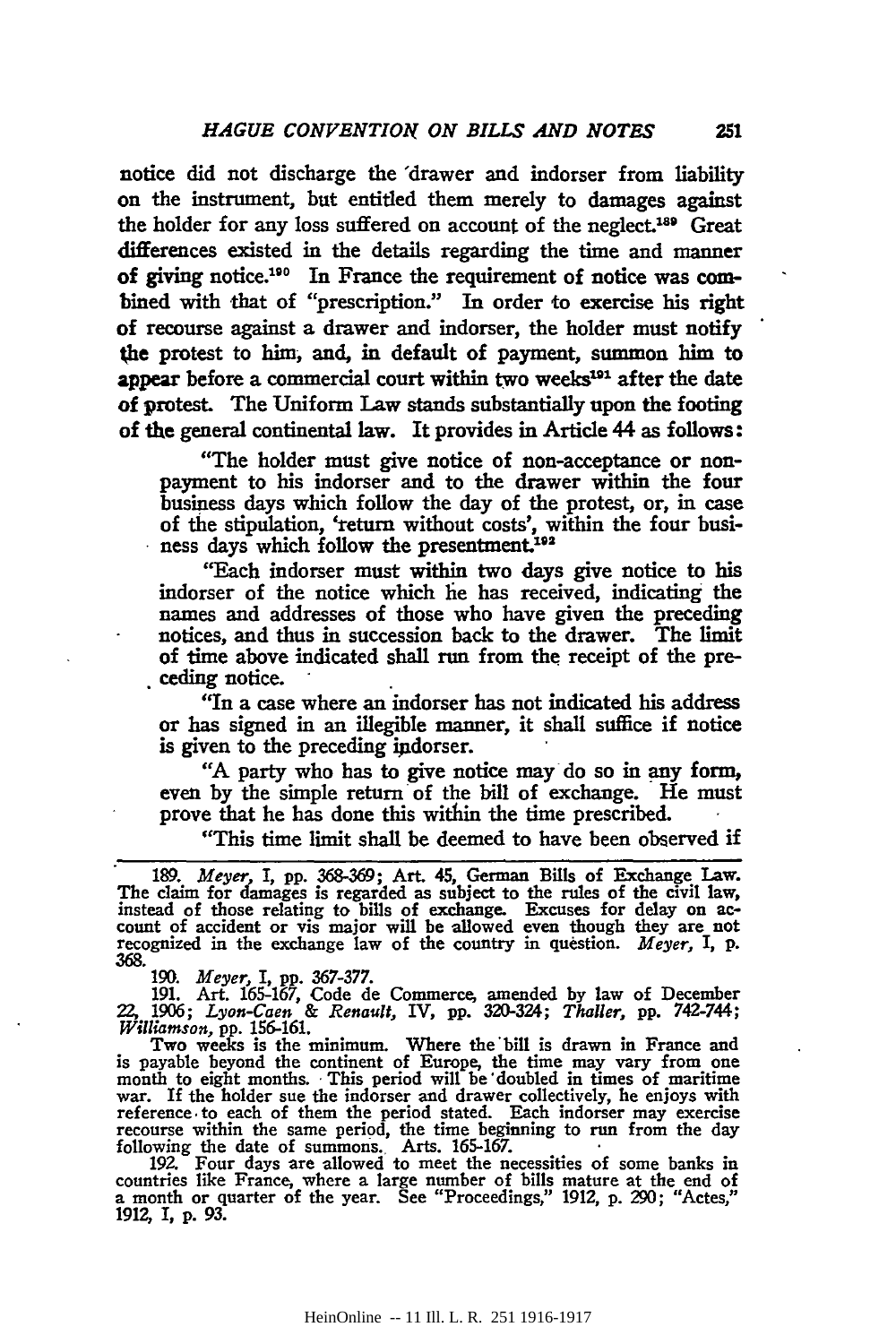notice did not discharge the 'drawer and indorser from liability on the instrument, but entitled them merely to damages against the holder for any loss suffered on account of the neglect.188 Great differences existed in the details regarding the time and manner of giving notice.180 In France the requirement of notice was combined with that of "prescription." In order to exercise his right of recourse against a drawer and indorser, the holder must notify the protest to him, and, in default of payment, summon him to appear before a commercial court within two weeks<sup>191</sup> after the date of protest. The Uniform Law stands substantially upon the footing of the general continental law. It provides in Article 44 as follows:

"The holder must give notice of non-acceptance or nonpayment to his indorser and to the drawer within the four business days which follow the day of the protest, or, in case of the stipulation, 'return without costs', within the four business days which follow the presentment.<sup>192</sup>

"Each indorser must within two days give notice to his indorser of the notice which he has received, indicating the names and addresses of those who have given the preceding notices, and thus in succession back to the drawer. The limit of time above indicated shall run from the receipt of the pre-. ceding notice.

"In a case where an indorser has not indicated his address or has signed in an illegible manner, it shall suffice if notice is given to the preceding indorser.

"A party who has to give notice may do so in any form, even by the simple return· of the bill of exchange. He must prove that he has done this within the time prescribed. ·

"This time limit shall be deemed to have been observed if

· 189. *Meyer* I, pp. 368-369; Art. 45, German Bills of Exchange Law. The claim for damages is regarded as subject to the rules of the civil law, instead of those relating to bills of exchange. Excuses for delay on ac- count of accident or vis major will be allowed even though they are not recognized in the exchange law of the country in question. *Meyer,* I, p. 368.

190. *Meyer*, I, pp. 367-377.<br>191. Art. 165-167, Code de Commerce, amended by law of December 22. 1~; *Lyon-Caen* & *Renault,* IV, pp. 320-324; *Thaller,* pp. 742-744; *Williamson,* pp. 156-161.

Two weeks is the minimum. Where the bill is drawn in France and is payable beyond the continent of Europe, the time may vary from one month to eight months. This period will be 'doubled in times of maritime war. If the holder sue the indorser and drawer collectively, he enjoys with ref reference. to each of them the period stated. Each indorser may exercise recourse within the same period, the time beginning to run from the day

following the date of summons. Arts. 165-167. **IDENT 192.** Four days are allowed to meet the necessities of some banks in countries like France, where a large number of bills mature at the end of a month or quarter of the year. See "Proceedings," 1912, p. 290; "Actes," 1912, I, p. 93.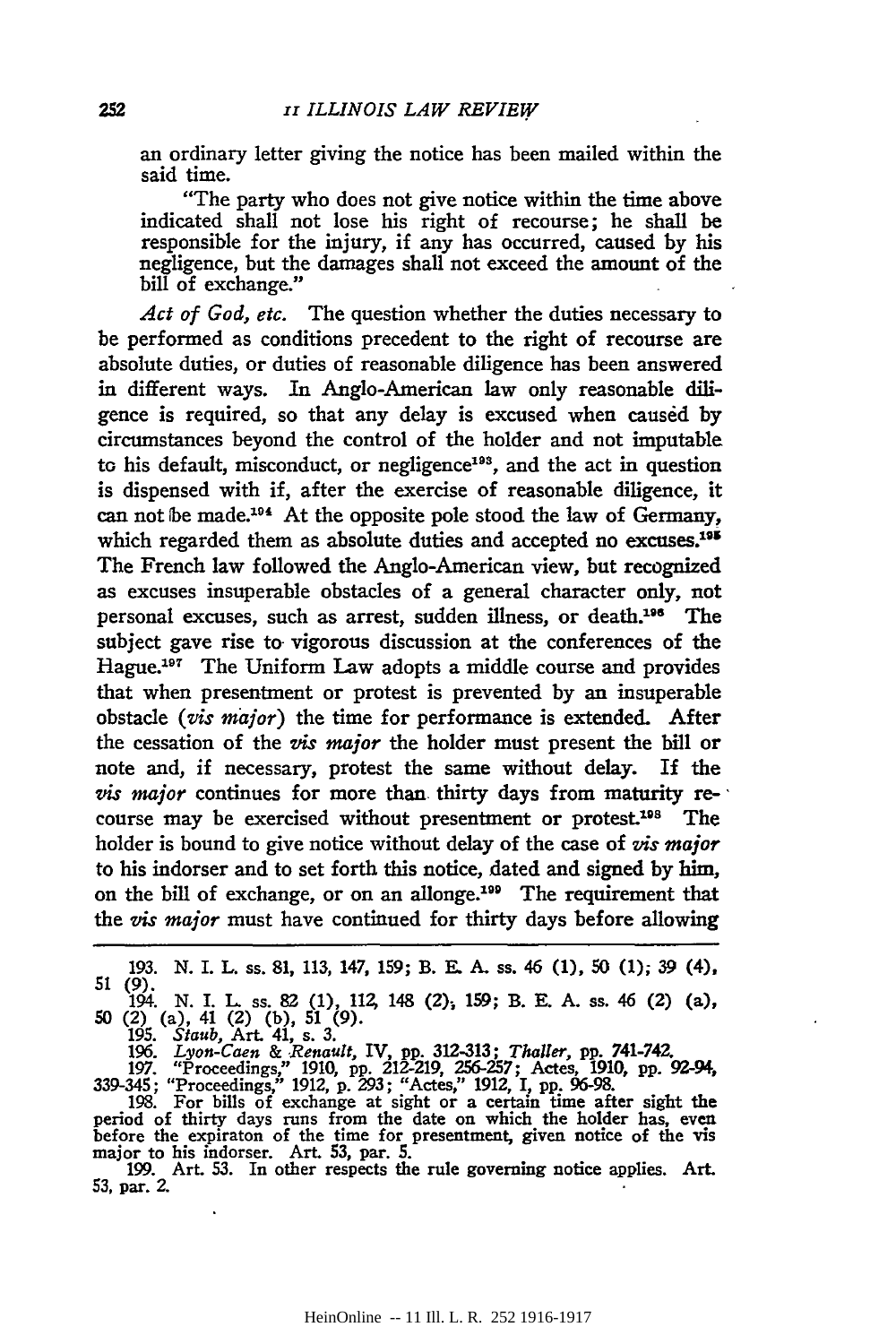an ordinary letter giving the notice has been mailed within the said time.

"The party who does not give notice within the time above indicated shall not lose his right of recourse; he shall be responsible for the injury, if any has occurred, caused by his negligence, but the damages shall not exceed the amount of the bill of exchange."

*Act of God, etc.* The question whether the duties necessary to be performed as conditions precedent to the right of recourse are absolute duties, or duties of reasonable diligence has been answered in different ways. In Anglo-American law only reasonable diligence is required, so that any delay is excused when caused by circumstances beyond the control of the holder and not imputable to his default, misconduct, or negligence<sup>193</sup>, and the act in question is dispensed with if, after the exercise of reasonable diligence, it can not be made.<sup>194</sup> At the opposite pole stood the law of Germany, which regarded them as absolute duties and accepted no excuses.<sup>195</sup> The French law followed the Anglo-American view, but recognized as excuses insuperable obstacles of a general character only, not personal excuses, such as arrest, sudden illness, or death.<sup>196</sup> The subject gave rise to vigorous discussion at the conferences of the Hague.197 The Uniform Law adopts a middle course and provides that when presentment or protest is prevented by an insuperable obstacle *(vis major)* the time for performance is extended. After the cessation of the *vis major* the holder must present the bill or note and, if necessary, protest the same without delay. If the *vis major* continues for more than. thirty days from maturity re- · course may be exercised without presentment or protest.<sup>198</sup> The holder is bound to give notice without delay of the case of *vis major*  to his indorser and to set forth this notice, dated and signed by him, on the bill of exchange, or on an allonge.<sup>199</sup> The requirement that the *vis major* must have continued for thirty days before allowing

51 (9). 194. N. I. L ss. 82 (1), 112, 148 (2); 159; B. E. A. ss. 46 (2) (a), 50 (2) (a), 41 (2) (b), 51 (9).

195. *Staub,* Art. 41, s. 3. 196. *Lyon-Caen* & *Renault,* IV, pp. 312-313; *Thaller,* pp. 741-742.

197. "Proceedings," 1910, pp. 212-219, 256-257; Actes, 1910, pp. 92-94,

339-345; "Proceedings," 1912, p. 293; "Actes," 1912, I, pp. 96-98. 198. For bills of exchange at sight or a certain time after sight the period of thirty days runs from the date on which the holder has, even before the expiraton of the time for presentment, given notice of the vis major to his indorser. Art. 53, par. 5. 199. Art. 53. In other respects the rule governing notice applies. Art.

199. Art. 53. In other respects the rule governing notice applies. Art. 53, par. 2.

<sup>193.</sup> N. I. L. ss. 81, 113, 147, 159; B. E. A. ss. 46 (1), 50 (1); 39 (4),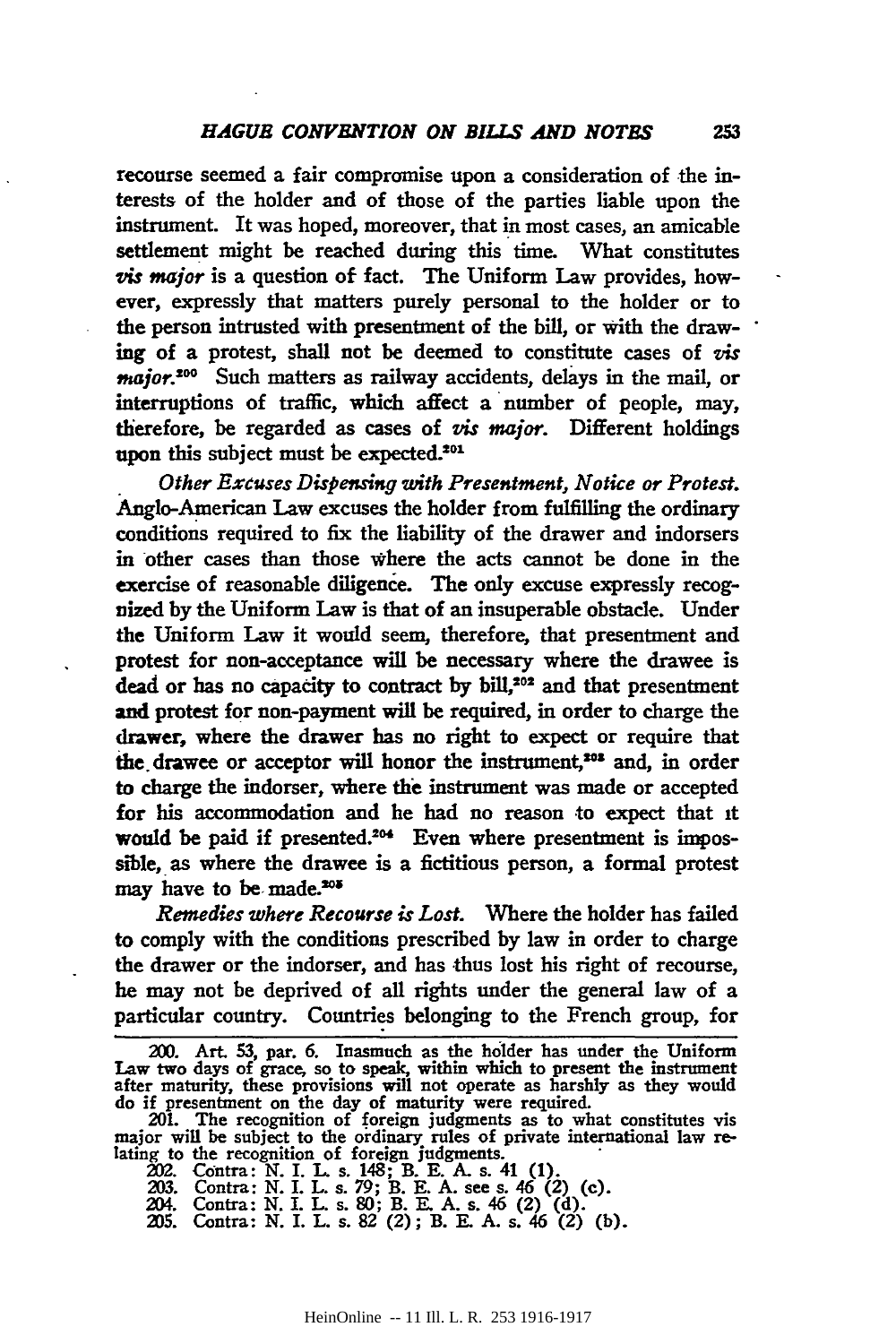recourse seemed a fair compromise upon a consideration of the interests of the holder and of those of the parties liable upon the instrument. It was hoped, moreover, that in most cases, an amicable settlement might be reached during this time. What constitutes *vis major* is a question of fact. The Uniform Law provides, however, expressly that matters purely personal to the holder or to the person intrusted with presentment of the bill, or with the drawing of a protest, shall not be deemed to constitute cases of *vis major.* 200 Such matters as railway accidents, delays in the mail, or interruptions of traffic, which affect a number of people, may, therefore, be regarded as cases of *vis major.* Different holdings upon this subject must be expected.<sup>201</sup>

. *Other Extuses Dispensing with Presemment, Notice or Protest.*  Anglo-American Law excuses the holder from fulfilling the ordinary conditions required to fix the liability of the drawer and indorsers in other cases than those where the acts cannot be done in the exercise of reasonable diligence. The only excuse expressly recognized by the Uniform Law is that of an insuperable obstacle. Under the Uniform Law it would seem, therefore, that presentment and protest for non-acceptance will be necessary where the drawee is dead or has no capacity to contract by bill,<sup>202</sup> and that presentment and protest for non-payment will be required, in order to charge the drawer, where the drawer has no right to expect or require that the drawee or acceptor will honor the instrument,<sup>202</sup> and, in order to charge the indorser, where the instrument was made or accepted for his accommodation and he had no reason to expect that 1t would be paid if presented.<sup>204</sup> Even where presentment is impossible, as where the drawee is a fictitious person, a formal protest may have to be made.<sup>208</sup>

*Remedies where Recourse is Lost.* Where the holder has failed to comply with the conditions prescribed by law in order to charge the drawer or the indorser, and has thus lost his right of recourse, he may not be deprived of all rights under the general law of a particular country. Countries belonging to the French group, for

<sup>200.</sup> Art. 53, par. 6. Inasmuch as the holder has under the Uniform Law two days of grace, so to speak. within which to present the instrument after maturity, these provisions will not operate as harshly as they would do if presentment on the day of maturity were required.

<sup>201.</sup> The recognition of foreign judgments as to what constitutes vis major will be subject to the ordinary rules of private international law re-<br>lating to the recognition of foreign judgments.<br>202. Contra: N. I. L. s. 148; B. E. A. s. 41 (1).

<sup>203.</sup> Contra: N. I. L. s. 79; B. E. A. see s. 46 (2) (c). 204. Contra: N. I. L. s. 80; B. E. A. s. 46 (2) (d). <br>205. Contra: N. I. L. s. 82 (2); B. E. A. s. 46 (2) (b).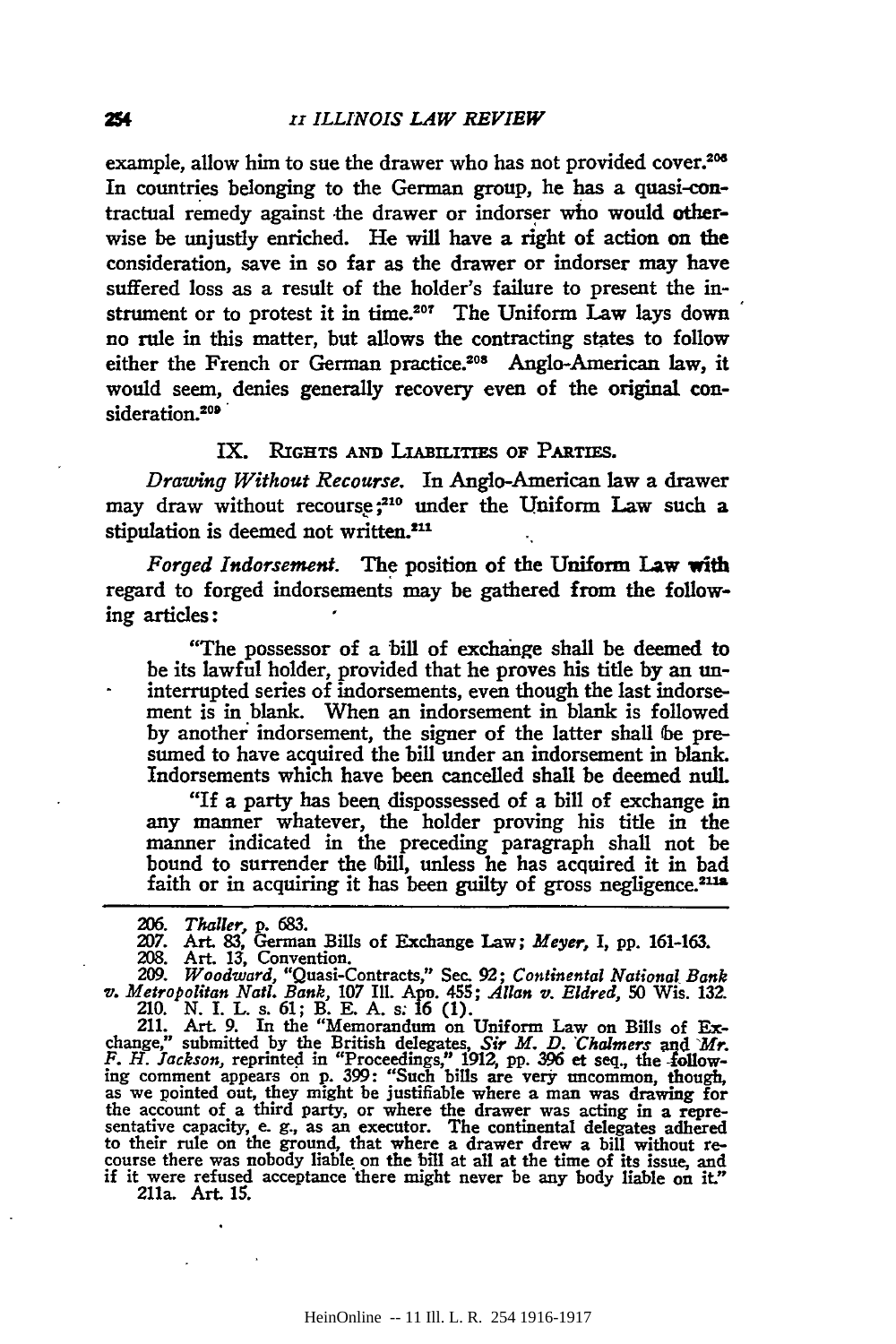example, allow him to sue the drawer who has not provided cover.<sup>206</sup> In countries belonging to the German group, he has a quasi-contractual remedy against the drawer or indorser who would otherwise be unjustly enriched. He will have a right of action on the consideration, save in so far as the drawer or indorser may have suffered loss as a result of the holder's failure to present the instrument or to protest it in time.<sup>207</sup> The Uniform Law lays down no rule in this matter, but allows the contracting states to follow either the French or German practice.<sup>208</sup> Anglo-American law, it would seem, denies generally recovery even of the original consideration.<sup>209</sup>

### IX. RIGHTS AND LIABILITIES OF PARTIES.

*Drawing Without Recourse.* In Anglo-American law a drawer may draw without recourse;<sup>210</sup> under the Uniform Law such a stipulation is deemed not written.<sup>211</sup>

*Forged Indorsement.* The position of the Uniform Law with regard to forged indorsements may be gathered from the following articles :

"The possessor of a bill of exchange shall be deemed to be its lawful holder, provided that he proves his title by an uninterrupted series of indorsements, even though the last indorsement is in blank. When an indorsement in blank is followed by another indorsement, the signer of the latter shall be presumed to have acquired the bill under an indorsement in blank. Indorsements which have been cancelled shall be deemed null.

"If a party has been. dispossessed of a bill of exchange in any manner whatever, the holder proving his title in the manner indicated in the preceding paragraph shall not be bound to surrender the bill, unless he has acquired it in bad faith or in acquiring it has been guilty of gross negligence. $2112$ 

209. Woodward, "Quasi-Contracts," Sec. 92; Continental National Bank<br>v. Metropolitan Natl. Bank, 107 Ill. App. 455; Allan v. Eldred, 50 Wis. 132.<br>210. N. I. L. s. 61; B. E. A. s. 16 (1).<br>211. Art. 9. In the "Memorandum on

change," submitted by the British delegates, *Sir M. D. Chalmers* and *Mr. F. H. Jackson,* reprinted in "Proceedings," 1912, pp. 396 et seq., the following comment appears on p. 399: "Such bills are very uncommon, though, as we pointed out, they might be justifiable where a man was drawing for the account of a third party, or where the drawer was acting in a repre- sentative capacity, e. g., as an executor. The continental delegates adhered to their rule on the ground, that where a drawer drew a bill without re- course there was nobody liable on the bill at all at the time of its issue, and if it were refused acceptance "there might never be any body liable on it." 211a. Art. 15.

254

<sup>206.</sup> *Thaller,* p. 683.<br>207. Art. 83, German Bills of Exchange Law; *Meyer*, I, pp. 161-163.<br>208. Art. 13, Convention.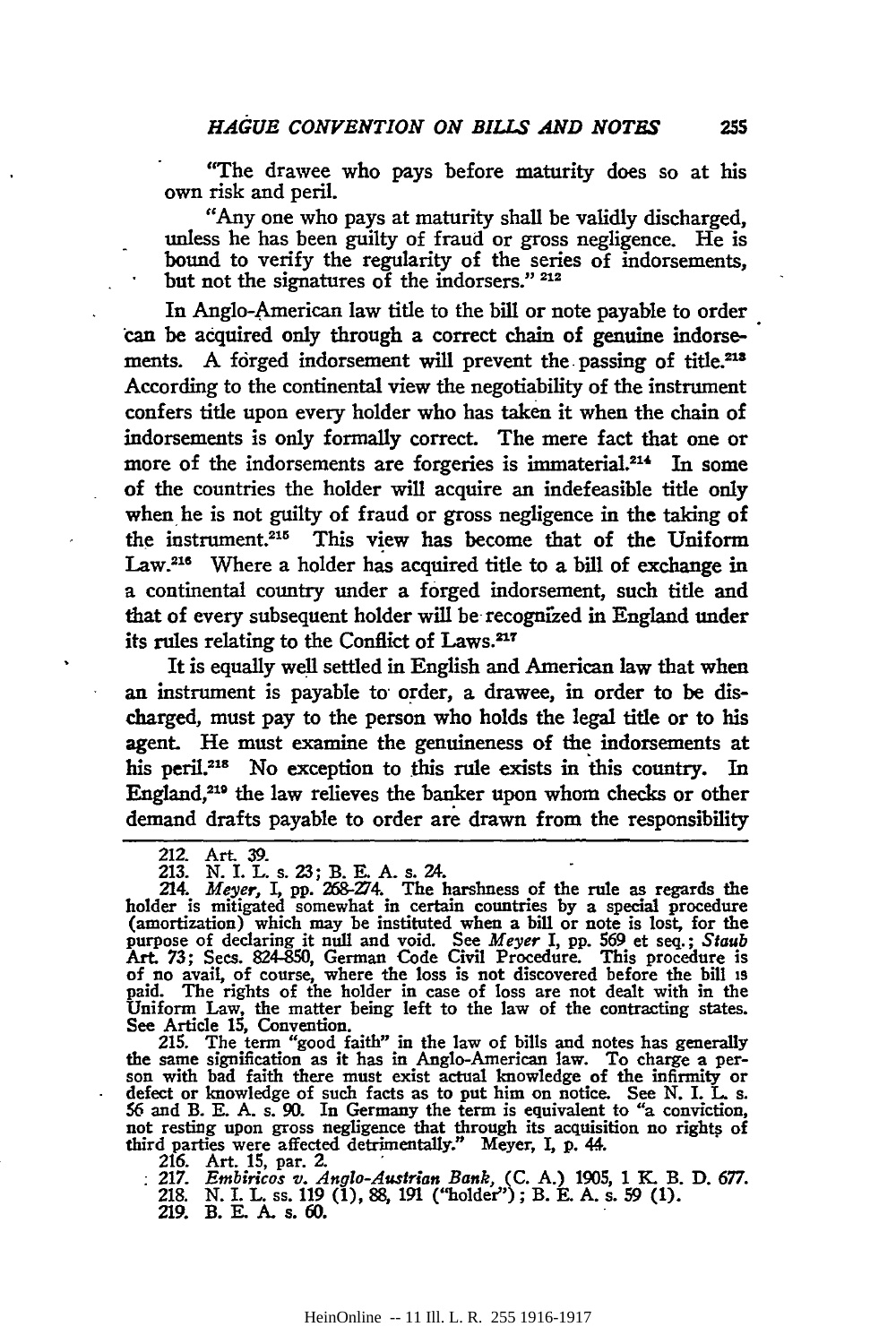"The drawee who pays before maturity does so at his own risk and peril.

"Any one who pays at maturity shall be validly discharged, unless he has been guilty of fraud or gross negligence. He is bound to verify the regularity of the series of indorsements, but not the signatures of the indorsers."  $212$ 

In Anglo-American law title to the bill or note payable to order can be acquired only through a correct chain of genuine indorsements. A forged indorsement will prevent the passing of title.<sup>218</sup> According to the continental view the negotiability of the instrument confers title upon every holder who has taken it when the chain of indorsements is only fonnally correct. The mere fact that one or more of the indorsements are forgeries is immaterial.<sup>214</sup> In some of the countries the holder will acquire an indefeasible title only when he is not guilty of fraud or gross negligence in the taking of the instrument.<sup>215</sup> This view has become that of the Uniform Law.<sup>216</sup> Where a holder has acquired title to a bill of exchange in a continental country under a forged indorsement, such title and that of every subsequent holder will be recognized in England under its rules relating to the Conflict of Laws.<sup>217</sup>

It is equally well settled in English and American law that when an instrument is payable to order, a drawee, in order to be discharged, must pay to the person who holds the legal title or to his agent. He must examine the genuineness of the indorsements at his peril.<sup>218</sup> No exception to this rule exists in this country. In England,<sup>219</sup> the law relieves the banker upon whom checks or other demand drafts payable to order are drawn from the responsibility

215. The term "good faith" in the law of bills and notes has generally the same signification as it has in Anglo-American law. To charge a person with bad faith there must exist actual knowledge of the infirmity or defect not resting upon gross negligence that through its acquisition no rights of third parties were affected detrimentally." Meyer, I, p. 44.<br>216. Art. 15, par. 2.<br>217. Embiricos v. Anglo-Austrian Bank, (C. A.) 1905, 1 K. B. D.

218. N. I. L. ss. 119 (1), 88, 191 ("holder''); B. E. A. s. 59 (1). 219. B. E. A. s. 60.

<sup>212.</sup> Art. 39. 213. N. I. L. s. 23; B. E. A. s. 24.

<sup>214.</sup> Meyer, I, pp. 268-274. The harshness of the rule as regards the holder is mitigated somewhat in certain countries by a special procedure (amortization) which may be instituted when a bill or note is lost, for the purpose of declaring it null and void. See *Meyer* I, pp. 569 et seq.; *Staub*  Art. 73; Sees. 824-850, German Code Civil Procedure. This procedure is of no avail, of course, where the loss is not discovered before the bill 19 paid. The rights of the bolder in case of loss are not dealt with in the Uniform Law, the matter being left to the law of the contracting states. See Article 15, Convention.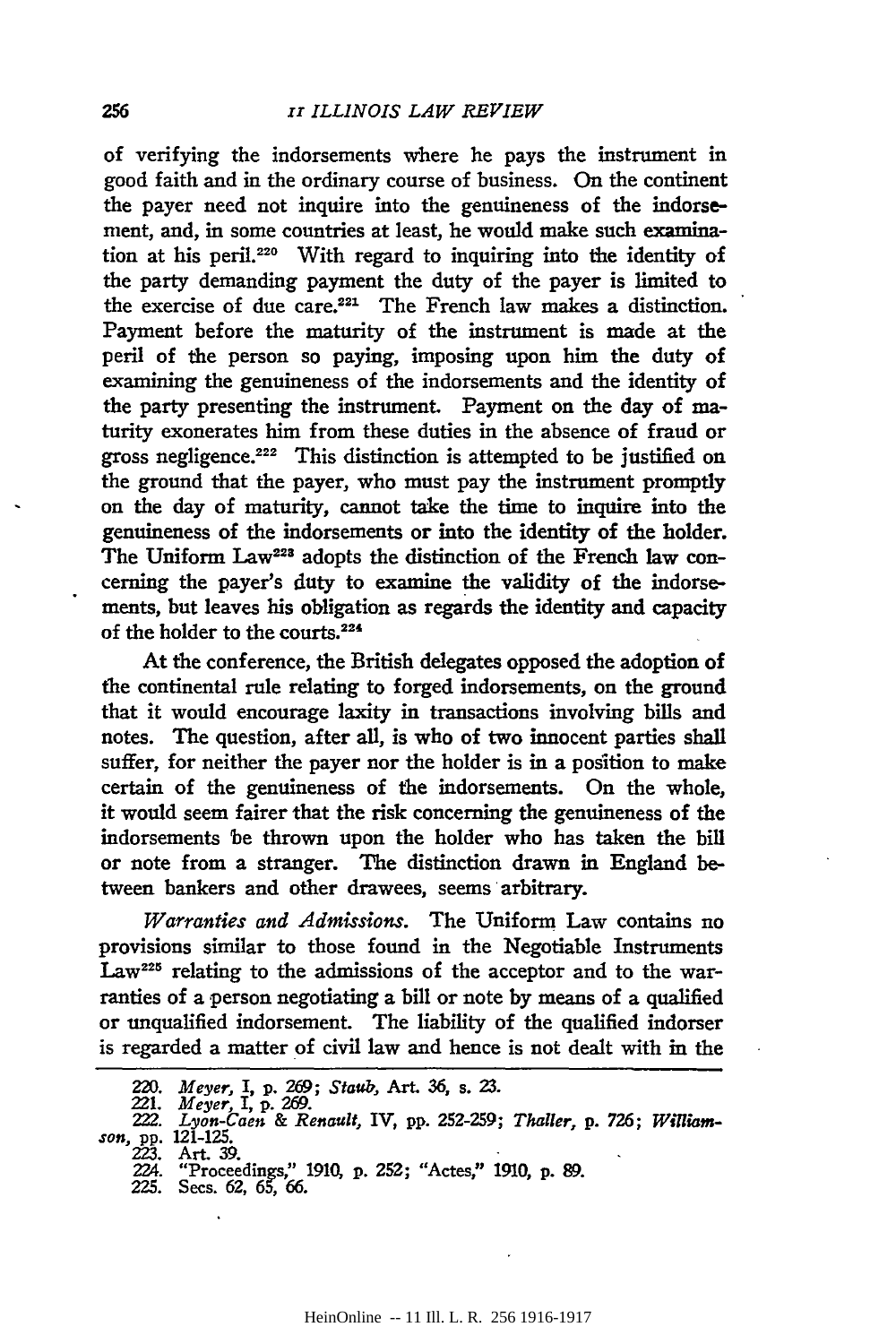of verifying the indorsements where he pays the instrument in good faith and in the ordinary course of business. On the continent the payer need not inquire into the genuineness of the indorsement, and, in some countries at least, he would make such examination at his peril. 220 With regard to inquiring into the identity of the party demanding payment the duty of the payer is limited to the exercise of due care.<sup>221</sup> The French law makes a distinction. Payment before the maturity of the instrument is made at the peril of the person so paying, imposing upon him the duty of examining the genuineness of the indorsements and the identity of the party presenting the instrument. Payment on the day of maturity exonerates him from these duties in the absence of fraud or gross negligence.222 This distinction is attempted to be justified on the ground that the payer, who must pay the instrument promptly on the day of maturity, cannot take the time to inquire into the genuineness of the indorsements or into the identity of the holder. The Uniform Law<sup>228</sup> adopts the distinction of the French law concerning the payer's duty to examine the validity of the indorsements, but leaves his obligation as regards the identity and capacity of the holder to the courts.<sup>224</sup>

At the conference, the British delegates opposed the adoption of the continental rule relating to forged indorsements, on the ground that it would encourage laxity in transactions involving bills and notes. The question, after all, is who of two innocent parties shall suffer, for neither the payer nor the holder is in a position to make certain of the genuineness of the indorsements. On the whole, it would seem fairer that the risk concerning the genuineness of the indorsements 'be thrown upon the holder who has taken the bill or note from a stranger. The distinction drawn in England between bankers and other drawees, seems arbitrary.

*Warranties and Admissions.* The Uniform Law contains no provisions similar to those found in the Negotiable Instruments Law<sup>225</sup> relating to the admissions of the acceptor and to the warranties of a person negotiating a bill or note by means of a qualified or unqualified indorsement. The liability of the qualified indorser is regarded a matter of civil law and hence is not dealt with in the

<sup>220.</sup> *Meyer,* I, p. 269; *Staub*, Art. 36, s. 23.<br>221. Meyer, I, p. 269.

<sup>222.</sup> *Lyon-Caen* & *Renault,* IV, pp. 252-259; *Thaller,* p. 726; *William-son,* pp. 121-125.

<sup>223.</sup> Art. 39. 224. "Proceedings," 1910, p. 252; "Actes," 1910, p. 89.

<sup>225.</sup> Sees. 62, 65, 66.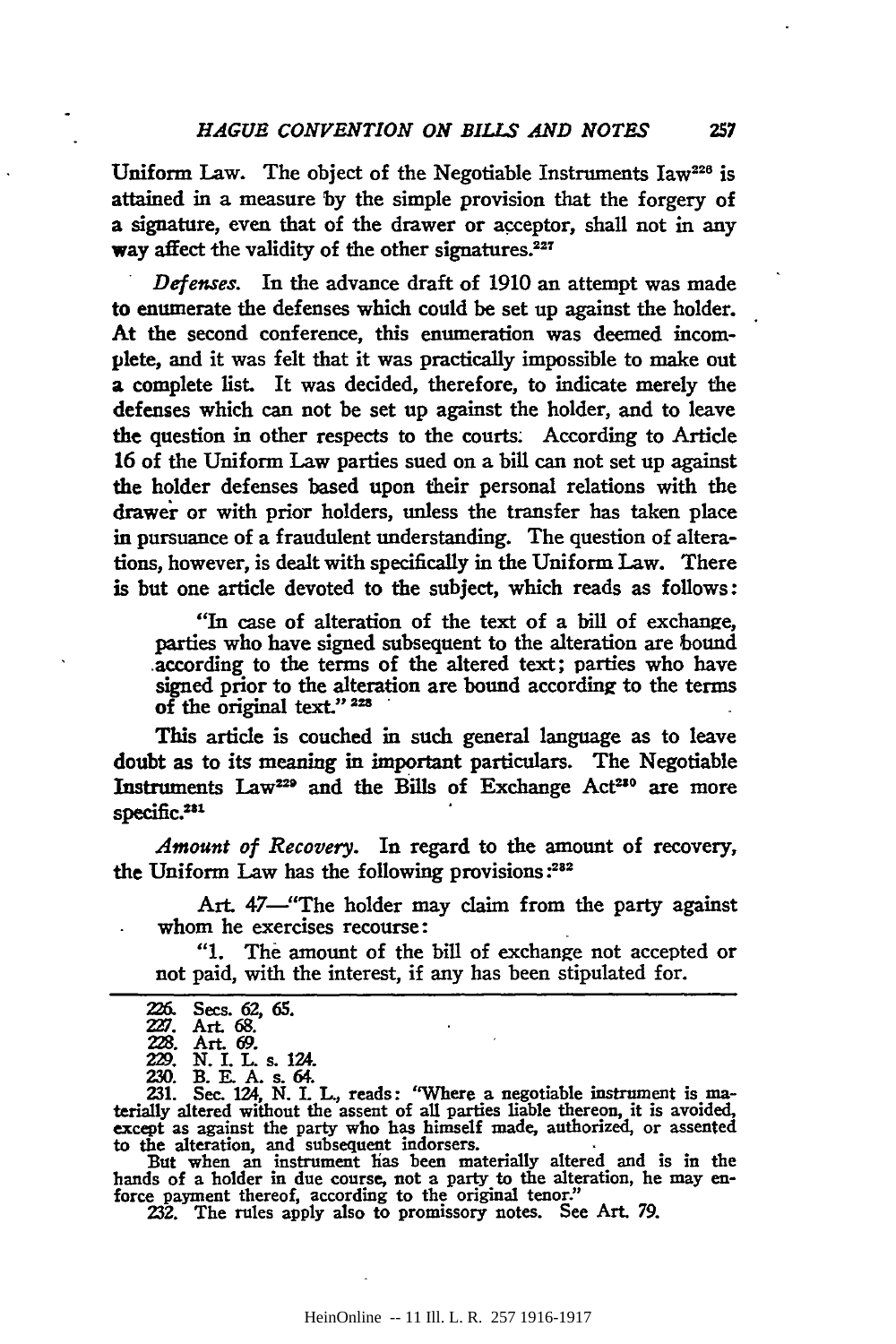Uniform Law. The object of the Negotiable Instruments  $Iaw^{226}$  is attained in a measure by the simple provision that the forgery of a signature, even that of the drawer or acceptor, shall not in any way affect the validity of the other signatures.<sup>227</sup>

Defenses. In the advance draft of 1910 an attempt was made to enumerate the defenses which could be set up against the holder. At the second conference, this enumeration was deemed incomplete, and it was felt that it was practically impossible to make out a complete list. It was decided, therefore, to indicate merely the defenses which can not be set up against the holder, and to leave the question in other respects to the courts; According to Article 16 of the Uniform Law parties sued on a bill can not set up against the holder defenses based upon their personal relations with the drawer or with prior holders, unless the transfer has taken place in pursuance of a fraudulent understanding. The question of alterations, however, is dealt with specifically in the Uniform Law. There is but one article devoted to the subject, which reads as follows:

"In case of alteration of the text of a bill of exchange, parties who have signed subsequent to the alteration are bound .according to the terms of the altered text; parties who have signed prior to the alteration are bound according to the terms of the original text."<sup>228</sup>

This article is couched in such general language as to leave doubt as to its meaning in important particulars. The Negotiable Instruments Law<sup>229</sup> and the Bills of Exchange Act<sup>210</sup> are more specific.<sup>231</sup>

*Amount of Recovery.* In regard to the amount of recovery, the Uniform Law has the following provisions:<sup>282</sup>

Art. 47—"The holder may claim from the party against whom he exercises recourse:

"1. The amount of the bill of exchange not accepted or not paid, with the interest, if any has been stipulated for.

| 226. | Secs. 62, 65. |  |
|------|---------------|--|
|      |               |  |

N. I. L. s. 124.

230. B. E. A. s. 64. 231. Sec. 124, N. L L., reads: "Where a negotiable instrument is ma- terially altered without the assent of all parties liable thereon, it is avoided, except as against the party who has himself made, authorized, or assented to the alteration, and subsequent indorsers.<br>• But when an instrument lias been materially altered and is in the

hands of a holder in due course, not a party to the alteration, he may enforce payment thereof, according to the original tenor."

232. The rules apply also to promissory notes. See Art *79.* 

ZZJ. Art 68.

Art.  $69.$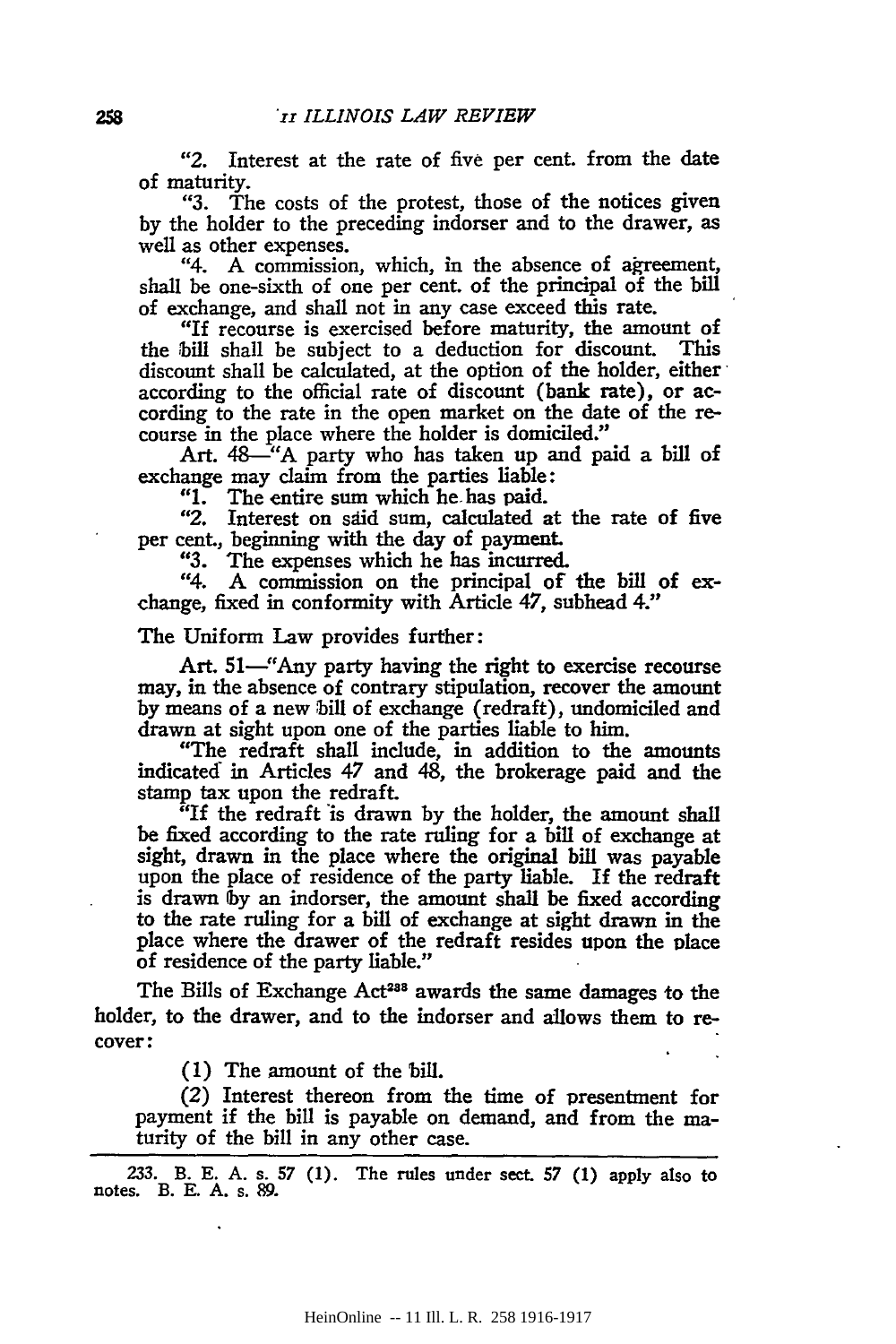"2. Interest at the rate of five per cent. from the date of maturity.

"3. The costs of the protest, those of the notices given by the holder to the preceding indorser and to the drawer, as well as other expenses.

"4. A commission, which, in the absence of agreement, shall be one-sixth of one per cent. of the principal of the bill of exchange, and shall not in any case exceed this rate.

"If recourse is exercised before maturity, the amount of the bill shall be subject to a deduction for discount. This discount shall be calculated, at the option of the holder, either according to the official rate of discount (bank rate), or according to the rate in the open market on the date of the recourse in the place where the holder is domiciled."

Art. 48—"A party who has taken up and paid a bill of exchange may claim from the parties liable:<br>"1. The entire sum which he has paid.

"1. The entire sum which he has paid.<br>"2. Interest on said sum, calculated a

Interest on said sum, calculated at the rate of five per cent., beginning with the day of payment.<br>
"3. The expenses which he has incurred.

"3. The expenses which he has incurred.

A commission on the principal of the bill of exchange, fixed in conformity with Article 47, subhead 4."

#### The Uniform Law provides further:

Art. 51—"Any party having the right to exercise recourse may, in the absence of contrary stipulation, recover the amount by means of a new bill of exchange (redraft), undomiciled and drawn at sight upon one of the parties liable to him.

"The redraft shall include, in addition to the amounts indicated in Articles 47 and 48, the brokerage paid and the stamp tax upon the redraft.

"If the redraft is drawn by the holder, the amount shall be fixed according to the rate ruling for a bill of exchange at sight, drawn in the place where the original bill was payable upon the place of residence of the party liable. If the redraft is drawn lby an indorser, the amount shall be fixed according to the rate ruling for a bill of exchange at sight drawn in the place where the drawer of the redraft resides upon the place of residence of the party liable."

The Bills of Exchange Act<sup>288</sup> awards the same damages to the holder, to the drawer, and to the indorser and allows them to recover:

( 1) The amount of the bill.

(2) Interest thereon from the time of presentment for payment if the bill is payable on demand, and from the maturity of the bill in any other case.

233. B. E. A. s. 57 (1). The rules under sect. 57 (1) apply also to notes. B. E. A. s. 89.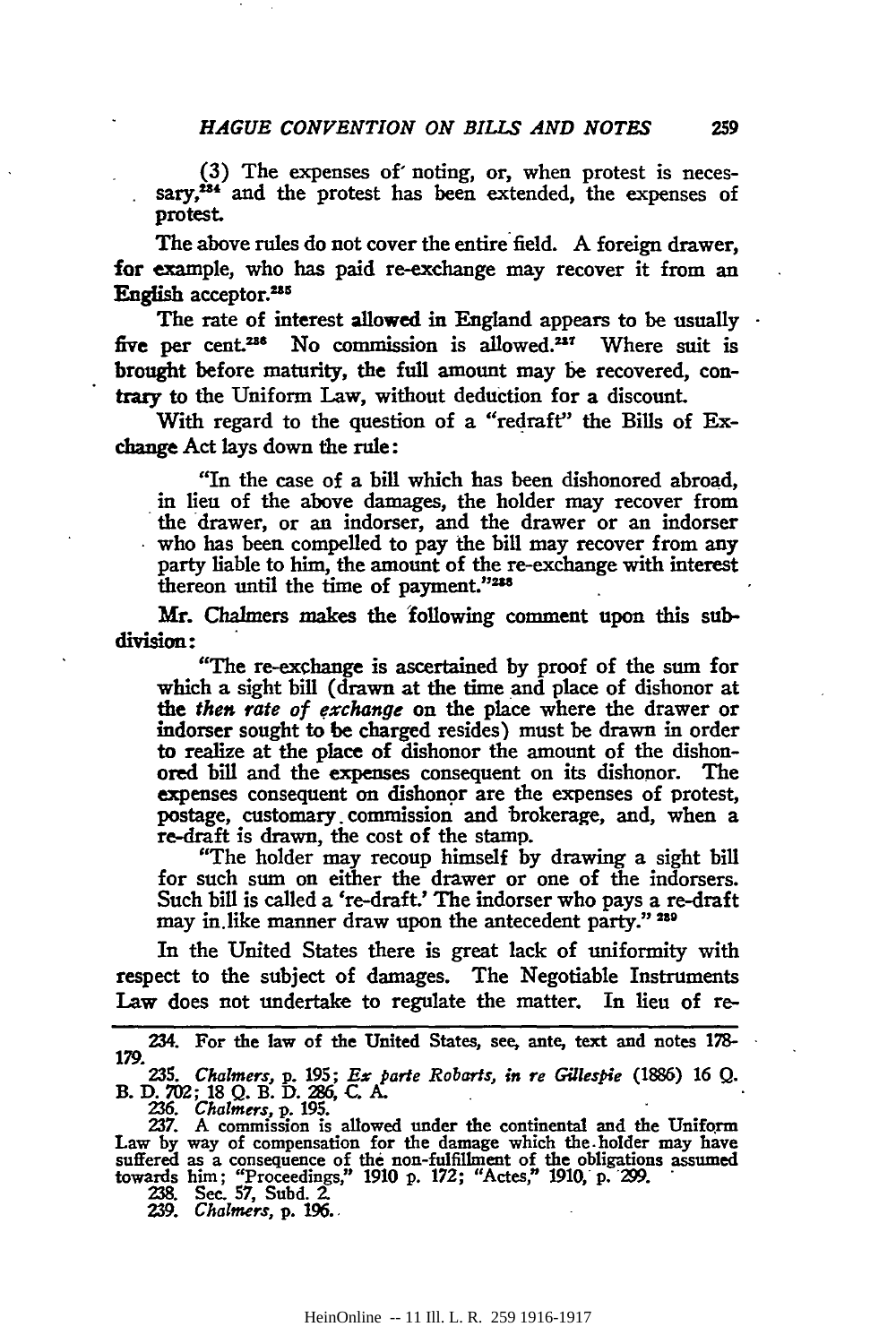(3) The expenses of' noting, or, when protest is necessary,<sup>284</sup> and the protest has been extended, the expenses of protest.

The above rules do not cover the entire field. A foreign drawer, for example, who has paid re-exchange may recover it from an English acceptor.<sup>235</sup>

The rate of interest allowed in England appears to be usually  $\cdot$ five per cent.<sup>236</sup> No commission is allowed.<sup>237</sup> Where suit is brought before maturity, the full amount may be recovered, contrary to the Uniform Law, without deduction for a discount.

With regard to the question of a "redraft" the Bills of Exchange Act lays down the rule:

"In the case of a bill which has been dishonored abroad, in lieu of the above damages, the holder may recover from the drawer, or an indorser, and the drawer or an indorser who has been compelled to pay the bill may recover from any party liable to him, the amount of the re-exchange with interest thereon until the time of payment."238

Mr. Chalmers makes the "following comment upon this subdivision:

"The re-exchange is ascertained by proof of the sum for which a sight bill (drawn at the time and place of dishonor at the then rate of exchange on the place where the drawer or indorser sought to be charged resides) must be drawn in order to realize at the place of dishonor the amount of the dishonored bill and the expenses consequent on its dishonor. The expenses consequent on dishonor are the expenses of protest, postage, customary. commission and brokerage, and, when a re-draft is drawn, the cost of the stamp.

"The holder may recoup himself by drawing a sight bill for such sum on either the drawer or one of the indorsers. Such bill is called a 're-draft.' The indorser who pays a re-draft may in.like manner draw upon the antecedent party." 239

In the United States there is great lack of uniformity with respect to the subject of damages. The Negotiable Instruments Law does not undertake to regulate the matter. In lieu of re-

<sup>234.</sup> For the law of the United States, see. ante. text and notes 1?8- 179.

<sup>235.</sup> *Chalmers,* p. 195; *E\$ Parle Robarts, in re Gillespie* (1886) 16 Q. B. D. 702; 18 Q. B. D. 286, C. A.

<sup>236.</sup> *Chalmers, p.* 195.<br>237. A commission is allowed under the continental and the Uniform Law by way of compensation for the damage which the.holder may have suffered as a consequence of the non-fulfillment of the obligations assumed towards him; "Proceedings," 1910 p. 172; "Actes," 1910,· p. "299. · 238. Sec. *57,* Subd. 2.

<sup>239.</sup> *Chalmers,* p. 196 ..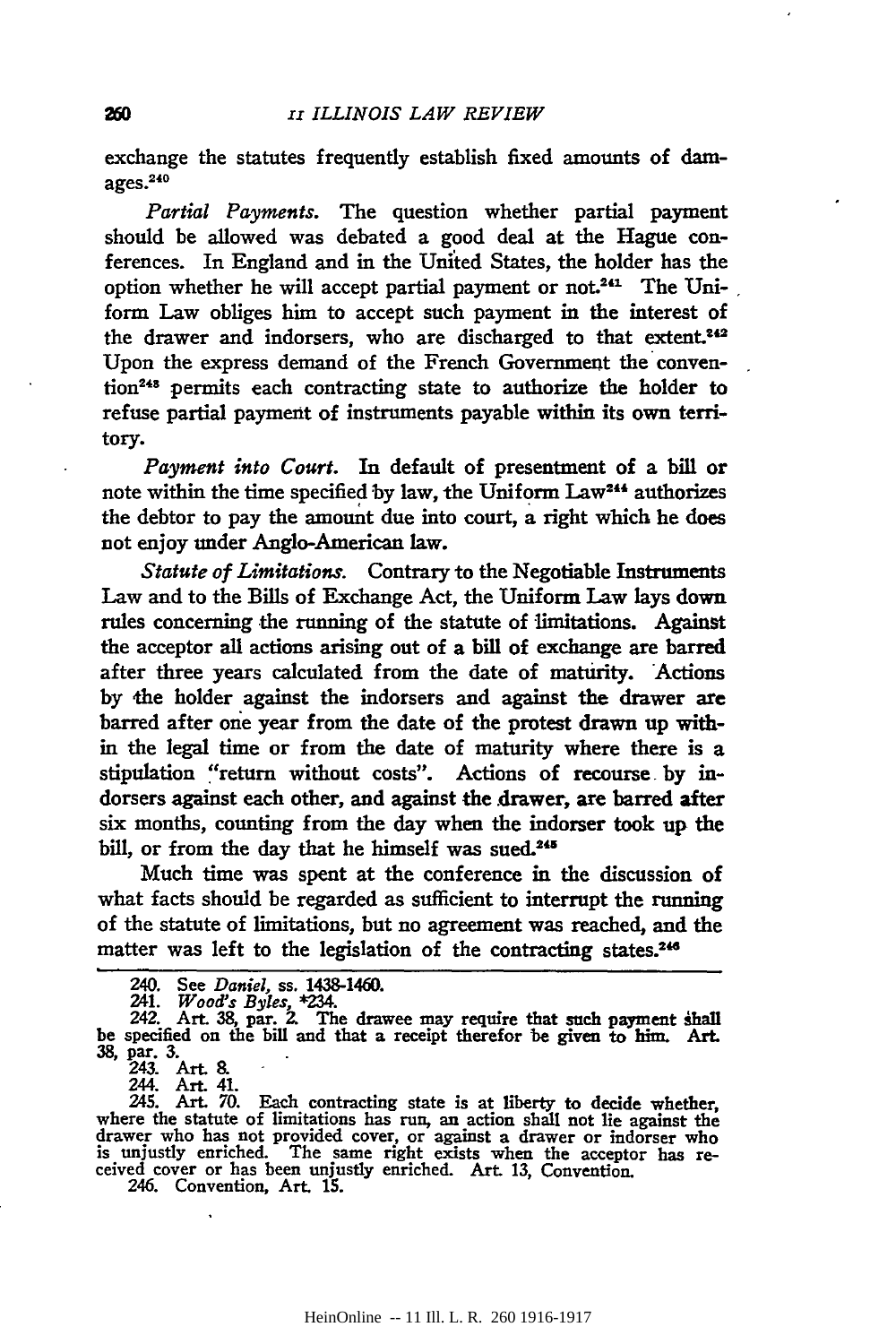exchange the statutes frequently establish fixed amounts of damages.<sup>240</sup>

*Partial Payments.* The question whether partial payment should be allowed was debated a good deal at the Hague conferences. In England and in the United States, the holder has the option whether he will accept partial payment or not.<sup>241</sup> The Uniform Law obliges him to accept such payment in the interest of the drawer and indorsers, who are discharged to that extent.<sup>242</sup> Upon the express demand of the French Government the convention248 permits each contracting state to authorize the holder to refuse partial payment of instruments payable within its own territory.

*Payment into Court.* In default of presentment of a bill or note within the time specified by law, the Uniform Law<sup>244</sup> authorizes the debtor to pay the amount due into court, a right which he does not enjoy under Anglo-American law.

*Statute of Limitations.* Contrary to the Negotiable Instruments Law and to the Bills of Exchange Act, the Uniform Law lays down rules concerning the running of the statute of limitations. Against the acceptor all actions arising out of a bill of exchange are barred after three years calculated from the date of maturity. 'Actions by the holder against the indorsers and against the drawer are barred after one year from the date of the protest drawn up within the legal time or from the date of maturity where there is a stipulation "return without costs". Actions of recourse by indorsers against each other, and against the drawer, are barred after six months, counting from the day when the indorser took up the bill, or from the day that he himself was sued.<sup>245</sup>

Much time was spent at the conference in the discussion of what facts should be regarded as sufficient to interrupt the running of the statute of limitations, but no agreement was reached, and the matter was left to the legislation of the contracting states.<sup>246</sup>

243. Art. 8.

244. Art. 41.

<sup>240.</sup> See *Daniel,* ss. 1438-1460. 241. *Wood's Byles,* \*234.

<sup>242.</sup> Art. 38, par. 2. The drawee may require that such payment shall be specified on the bill and that a receipt therefor be given *to* him. Art. 38, par. 3.

<sup>245.</sup> Art. 70. Each contracting state is at liberty to decide whether, where the statute of limitations has run, an action shall not lie against the drawer who bas not provided cover, or against a drawer or indorser who is unjustly enriched. The same right exists when the acceptor bas re- ceived cover or has been unjustly enriched. Art. 13, Convention. ceived cover or has been unjustly enriched. Art. 13, Convention. 246. Convention, Art. 15.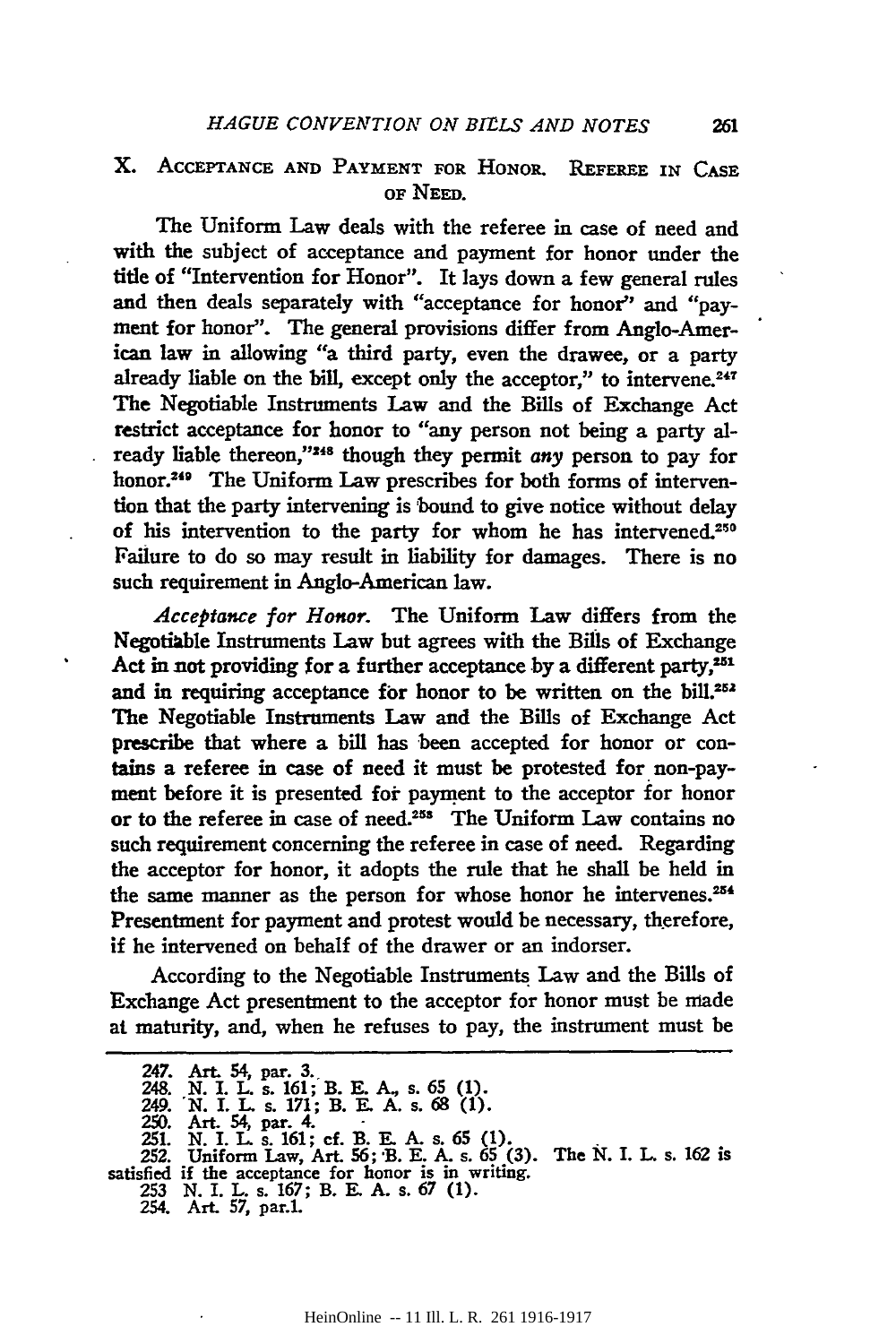## X. ACCEPTANCE AND PAYMENT FOR HONOR. REFEREE IN CASE OF NEED.

The Uniform Law deals with the referee in case of need and with the subject of acceptance and payment for honor under the title of "Intervention for Honor". It lays down a few general rules and then deals separately with "acceptance for honor'' and "payment for honor''. The general provisions differ from Anglo-American law in allowing "a third party, even the drawee, or a party already liable on the bill, except only the acceptor," to intervene.<sup>247</sup> The Negotiable Instruments Law and the Bills of Exchange Act restrict acceptance for honor to "any person not being a party already liable thereon,"<sup>248</sup> though they permit *any* person to pay for honor.<sup>249</sup> The Uniform Law prescribes for both forms of intervention that the party intervening is bound to give notice without delay of his intervention to the party for whom he has intervened.<sup>250</sup> Failure to do so may result in liability for damages. There is no such requirement in Anglo-American law.

Acceptance for Honor. The Uniform Law differs from the Negotiable Instruments Law but agrees with the Bills of Exchange Act in not providing for a further acceptance by a different party, $251$ and in requiring acceptance for honor to be written on the bill.<sup>252</sup> The Negotiable Instruments Law and the Bills of Exchange Act prescribe that where a bill has been accepted for honor or contains a referee in case of need it must be protested for non-payment before it is presented for payment to the acceptor for honor or to the referee in case of need.<sup>255</sup> The Uniform Law contains no such requirement concerning the referee in case of need. Regarding the acceptor for honor, it adopts the rule that he shall be held in the same manner as the person for whose honor he intervenes.<sup>254</sup> Presentment for payment and protest would be necessary, therefore, if he intervened on behalf of the drawer or an indorser.

According to the Negotiable Instruments Law and the Bills of Exchange Act presentment to the acceptor for honor must be made at maturity, and, when he refuses to pay, the instrument must be

- satisfied if the acceptance for honor is in writing. 253 N. I. L. s. 167; B. E. A. s. 67 (1).
	- 254. Art. 57, par.1.

<sup>247.</sup> Art. 54, par. 3.<br>248. N. I. L. s. 161; B. E. A., s. 65 (1). 249. N. I. L. s. 171; B. E. A. s. 68 (1).

<sup>250.</sup> Art. 54, par. 4.<br>251. N. I. L. s. 161; cf. B. E. A. s. 65 (1).<br>252. Uniform Law, Art. 56; B. E. A. s. 65 (3). The N. I. L. s. 162 is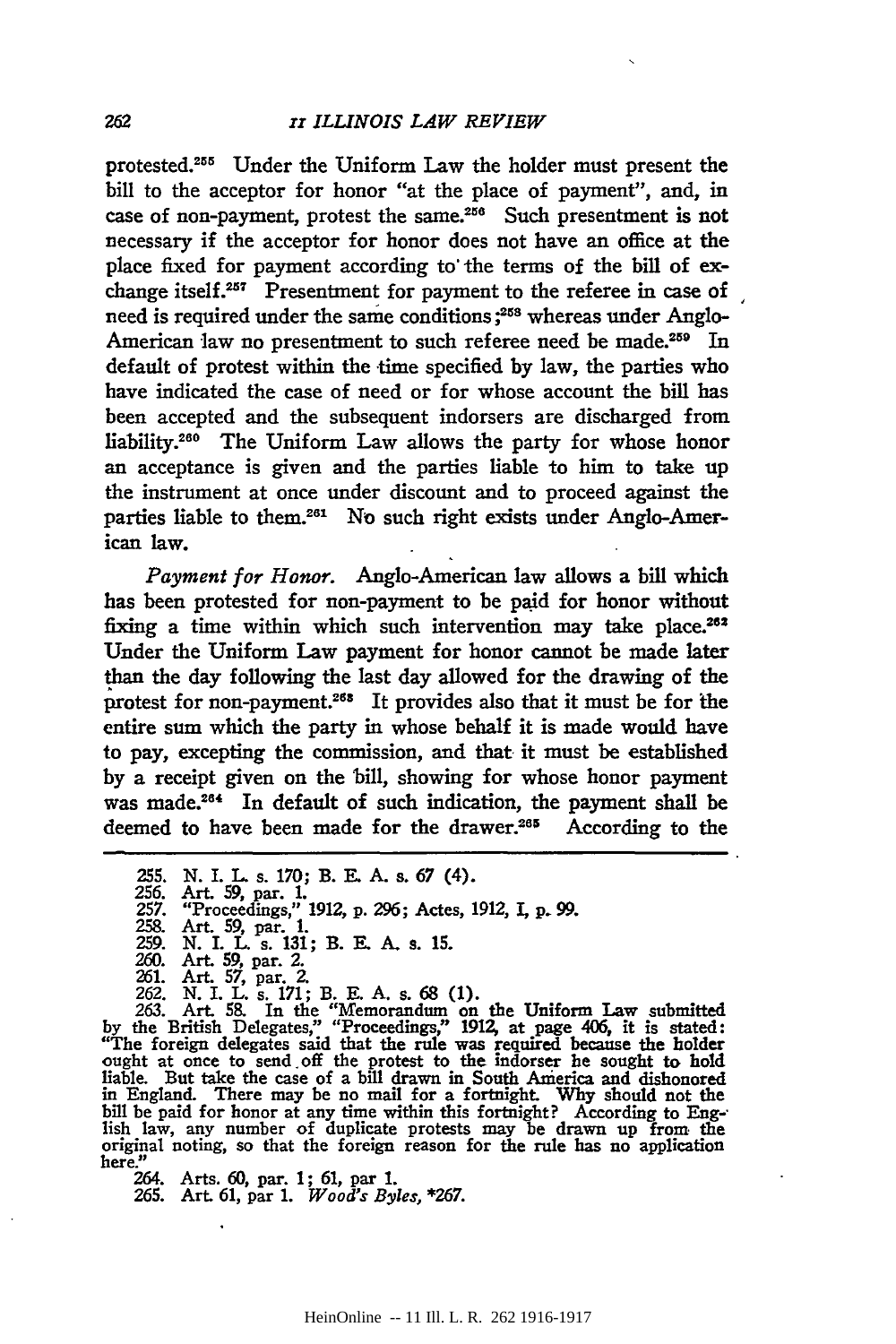protested.<sup>255</sup> Under the Uniform Law the holder must present the bill to the acceptor for honor "at the place of payment", and, in case of non-payment, protest the same. $256$  Such presentment is not necessary if the acceptor for honor does not have an office at the place fixed for payment according to' the terms of the bill of exchange itself.<sup>257</sup> Presentment for payment to the referee in case of need is required under the same conditions;<sup>258</sup> whereas under Anglo-American law no presentment to such referee need be made.<sup>259</sup> In default of protest within the time specified by law, the parties who have indicated the case of need or for whose account the bill has been accepted and the subsequent indorsers are discharged from liability.<sup>260</sup> The Uniform Law allows the party for whose honor an acceptance is given and the parties liable to him to take up the instrument at once under discount and to proceed against the parties liable to them.<sup>261</sup> No such right exists under Anglo-American law.

*Payment for Honor.* Anglo-American law allows a bill which has been protested for non-payment to be paid for honor without fixing a time within which such intervention may take place.<sup>262</sup> Under the Uniform Law payment for honor cannot be made later than the day following the last day allowed for the drawing of the protest for non-payment.<sup>268</sup> It provides also that it must be for the entire sum which the party in whose behalf it is made would have to pay, excepting the commission, and that it must be established by a receipt given on the bill, showing for whose honor payment was made.26' In default of such indication, the payment shall be deemed to have been made for the drawer.<sup>265</sup> According to the

258. Art. 59, par. 1. 259. N. I. L. s. 131; B. E. A. s. 15. 260. Art. 59, par. 2.

261. Art. 57, par. 2. 262. N. I. L. s. 171; B. E. A. s. 68 (1). 263. Art. 58. In the "Memorandum on the Uniform Law submitted by the British Delegates," "Proceedings," 1912, at page 406, it is stated: "The foreign delegates said that the rule was required because the holder ought at once to send off the protest to the indorser he sought to hold liable. But take the case of a bill drawn in South America and dishonored in England. There may be no mail for a fortnight. Why should not the bill be paid for honor at any time within this fortnight? According to Eng-<br>lish law, any number of duplicate protests may be drawn up from the original noting, so that the foreign reason for the rule has no application here."

264. Arts. 60, par. 1 ; 61, par 1.

265. Art. 61, par 1. *Wood's Byles,* \*267.

<sup>255.</sup> N. I. L. s. 170; B. E. A. s. 67 (4).

<sup>256.</sup> Art. 59, par. 1. 257. "Proceedings," 1912, p. 296; Actes, 1912, I, p. 99.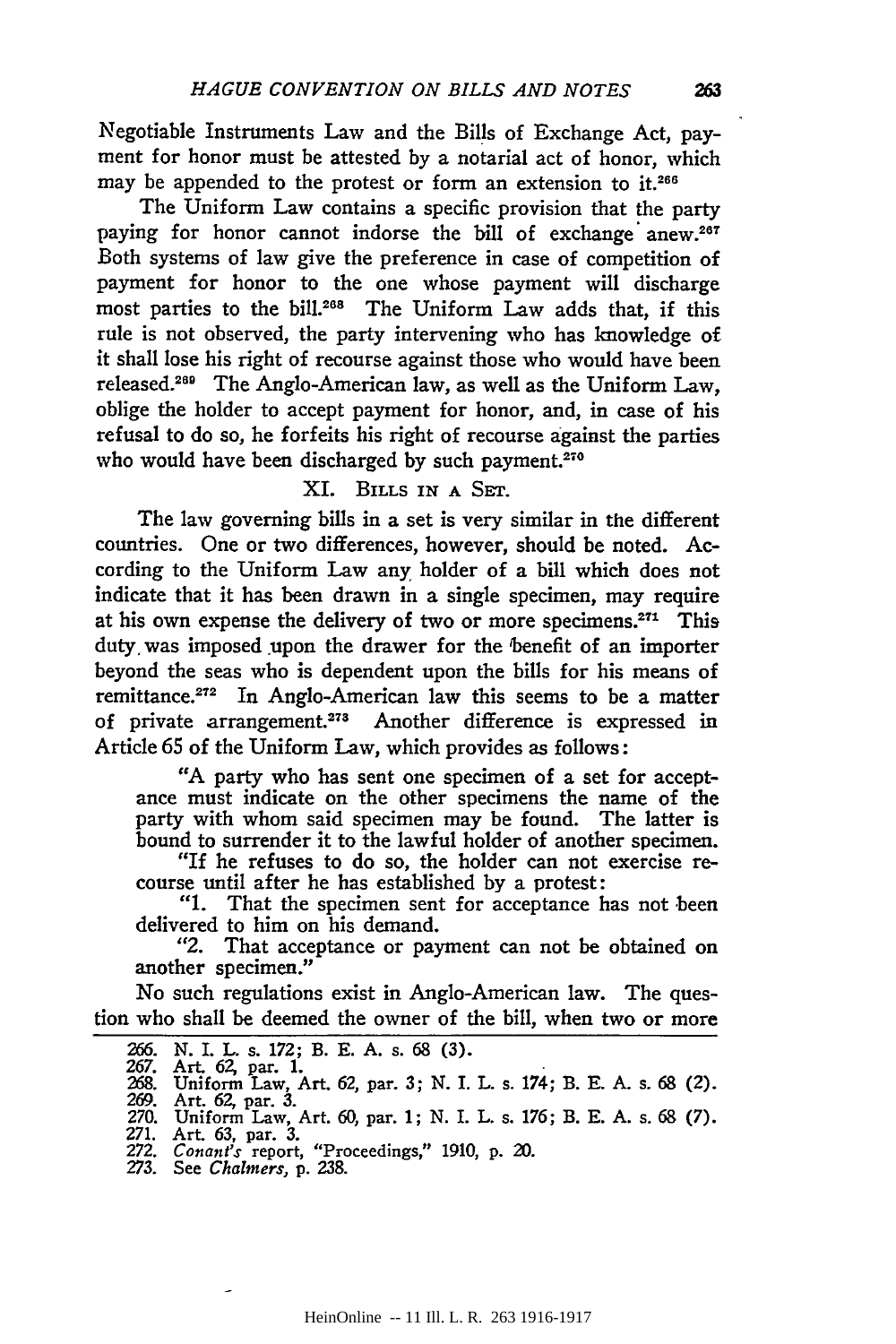Negotiable Instruments Law and the Bills of Exchange Act, payment for honor must be attested by a notarial act of honor, which may be appended to the protest or form an extension to it.<sup>266</sup>

The Uniform Law contains a specific provision that the party paying for honor cannot indorse the bill of exchange anew.<sup>267</sup> Both systems of law give the preference in case of competition of payment for honor to the one whose payment will discharge most parties to the bill.<sup>268</sup> The Uniform Law adds that, if this rule is not observed, the party intervening who has knowledge of it shall lose his right of recourse against those who would have been released.260 The Anglo-American law, as well as the Uniform Law, oblige the holder to accept payment for honor, and, in case of his refusal to do so, he forfeits his right of recourse against the parties who would have been discharged by such payment.<sup>270</sup>

# XI. BILLS IN A SET.

The law governing bills in a set is very similar in the different countries. One or two differences, however, should be noted. According to the Uniform Law any holder of a bill which does not indicate that it has been drawn in a single specimen, may require at his own expense the delivery of two or more specimens.271 This duty was imposed upon the drawer for the benefit of an importer beyond the seas who is dependent upon the bills for his means of remittance.<sup>272</sup> In Anglo-American law this seems to be a matter of private arrangement.<sup>278</sup> Another difference is expressed in Article 65 of the Uniform Law, which provides as follows:

"A party who has sent one specimen of a set for acceptance must indicate on the other specimens the name of the party with whom said specimen may be found. The latter is bound to surrender it to the lawful holder of another specimen.

"If he refuses to do so, the holder can not exercise recourse until after he has established by a protest:

"1. That the specimen sent for acceptance has not been delivered to him on his demand.

"2. That acceptance or payment can not be obtained on another specimen."

No such regulations exist in Anglo-American law. The question who shall be deemed the owner of the bill, when two or more

<sup>266.</sup> N. I. L. s. 172; B. E. A. s. 68 (3).

<sup>267.</sup> Art. 62, par. 1.<br>268. Uniform Law, Art. 62, par. 3; N. I. L. s. 174; B. E. A. s. 68 (2).

<sup>269.</sup> Art. 62, par. 3. 270. Uniform Law, Art. 60, par. 1; N. I. L. s. 176; B. E. A. s. 68 (7). 271. Art. 63, par. 3.

<sup>272.</sup> *Conant's* report, "Proceedings," 1910, p. 20.

<sup>273.</sup> See *Chalmers,* p. 238.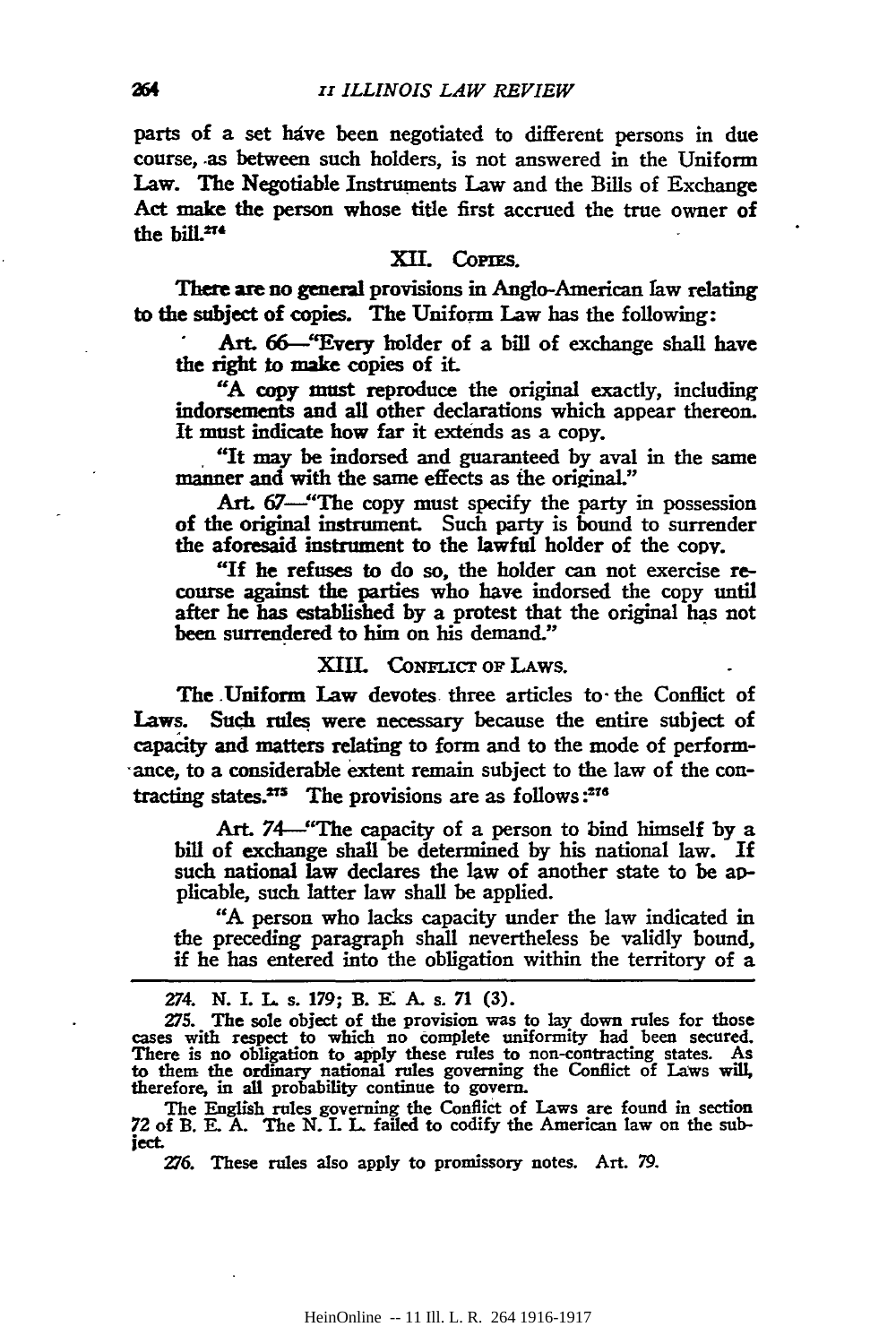parts of a set have been negotiated to different persons in due course, .as between such holders, is not answered in the Uniform Law. The Negotiable Instruments Law and the Bills of Exchange Act make the person whose title first accrued the true owner of the  $\frac{1}{2}$ <sup>274</sup>

#### XII. CoPIES.

There are no general provisions in Anglo-American faw relating to the subject of copies. The Uniform Law has the following:

Art. 66--"Every holder of a bill of exchange shall have the right to make copies of it.

"A copy must reproduce the original exactly, including indorsements and all other declarations which appear thereon. It mnst indicate how far it extends as a copy.

. ''It may be indorsed and guaranteed by aval in the same manner and with the same effects as the original."

Art. 67—"The copy must specify the party in possession of the original instrument. Such party is bound to surrender the aforesaid instrument to the lawful holder of the copv.

"If he refuses to do *so,* the holder can not exercise recourse against the parties who have indorsed the copy until after he has established by a protest that the original has not been surrendered to him on his demand."

### XIII. CoNFLICT oF LAws.

The .Uniform Law devotes. three articles to· the Conflict of Laws. Such rules were necessary because the entire subject of capacity and matters relating to form and to the mode of perlorm- ·ance, to a considerable extent remain subject to the law of the contracting states. $275$  The provisions are as follows : $276$ 

Art. 74-"The capacity of a person to bind himself by a bill of exchange shall be determined by his national law. If such national law declares the law of another state to be applicable, such latter law shall be applied.

"A person who lacks capacity under the law indicated in the preceding paragraph shall nevertheless be validly bound, if he has entered into the obligation within the territory of a

The English rules governing the Conflict of Laws are found in section 72 of B. E. A. The N. L L failed to codify the American law on the subiect.

276. These rules also apply to promissory notes. Art. 79.

<sup>274.</sup> N. I. L s. 179; B. E: A. s. 71 (3).

<sup>275.</sup> The sole object of the provision was to lay down rules for those cases with respect to which no eomplete uniformity had been secured. There is no obligation to apply these rules to non-contracting states. As to them the ordinary national rules governing the Conflict of Laws will. therefore, in all probability continue to govern.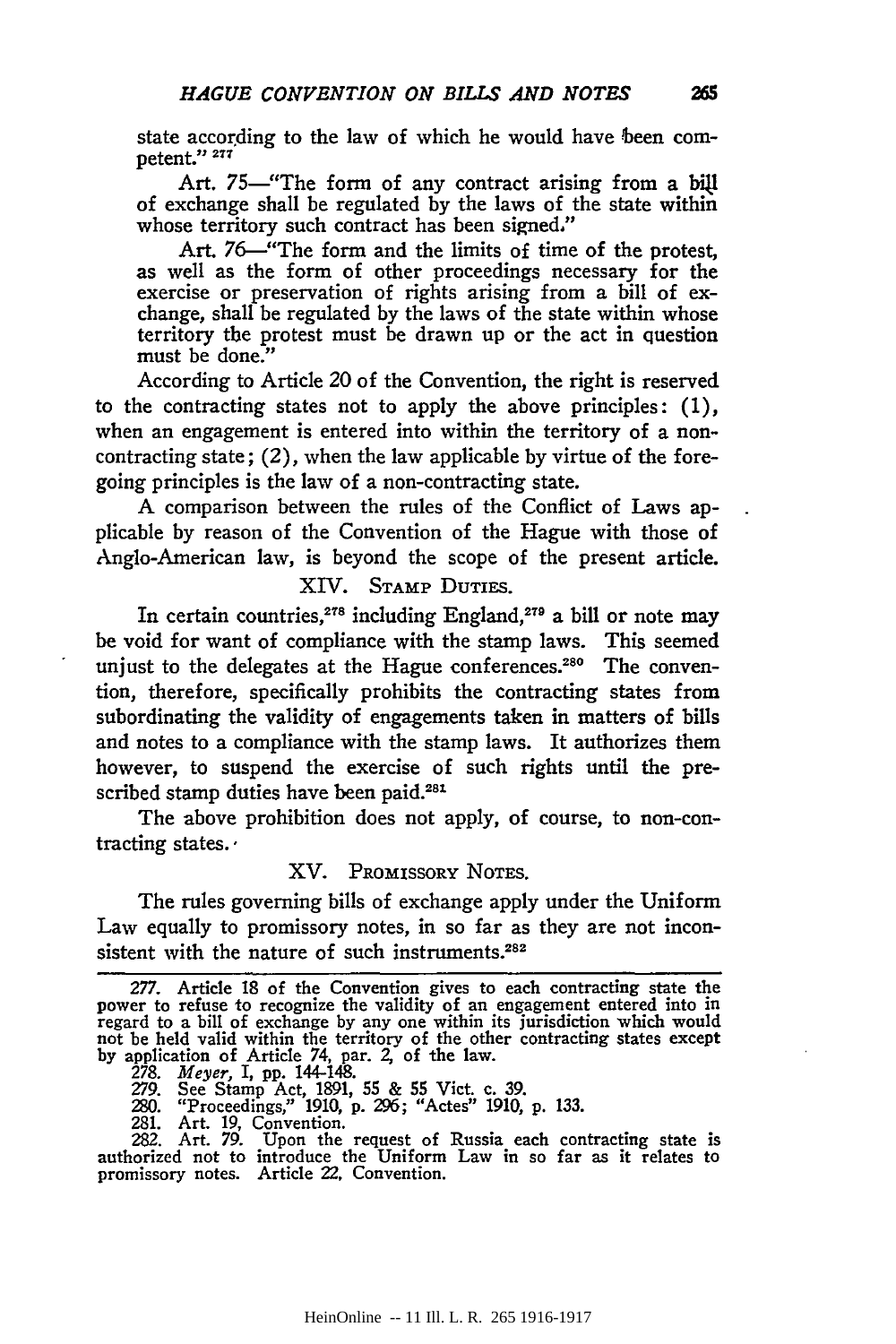state according to the law of which he would have been competent." *<sup>211</sup>*

Art. 75—"The form of any contract arising from a bill of exchange shall be regulated by the laws of the state within whose territory such contract has been signed."

Art. 76-"The form and the limits of time of the protest, as well as the form of other proceedings necessary for the exercise or preservation of rights arising from a bill of exchange, shall be regulated by the laws of the state within whose territory the protest must be drawn up or the act in question must be done.''

According to Article 20 of the Convention, the right is reserved to the contracting states not to apply the above principles:  $(1)$ , when an engagement is entered into within the territory of a noncontracting state; (2), when the law applicable by virtue of the foregoing principles is the law of a non-contracting state.

A comparison between the rules of the Conflict of Laws applicable by reason of the Convention of the Hague with those of Anglo-American law, is beyond the scope of the present article.

XIV. STAMP DUTIES.

In certain countries,<sup>278</sup> including England,<sup>279</sup> a bill or note may be void for want of compliance with the stamp laws. This seemed unjust to the delegates at the Hague conferences.<sup>280</sup> The convention, therefore, specifically prohibits the contracting states from subordinating the validity of engagements taken in matters of bills and notes to a compliance with the stamp laws. It authorizes them however, to suspend the exercise of such rights until the prescribed stamp duties have been paid.<sup>281</sup>

The above prohibition does not apply, of course, to non-contracting states. ·

### XV. PROMISSORY NoTES.

The rules governing bills of exchange apply under the Uniform Law equally to promissory notes, in so far as they are not inconsistent with the nature of such instruments.<sup>282</sup>

278. *Meyer,* I, pp. 144-148.

280. "Proceedings," 1910, p. 296; "Actes" 1910, p. 133.

281. Art. 19, Convention. 282. Art. 79. Upon the request of Russia each contracting state is authorized not to introduce the Uniform Law in so far as it relates to promissory notes. Article 22, Convention.

<sup>277.</sup> Article 18 of the Convention gives to each contracting state the power to refuse to recognize the validity of an engagement entered into in regard to a bill of exchange by any one within its jurisdiction which would not be held valid within the territory of the other contracting states except by application of Article 74, par. 2, of the law.

<sup>279.</sup> See Stamp Act, 1891, 55 & 55 Viet. c. 39.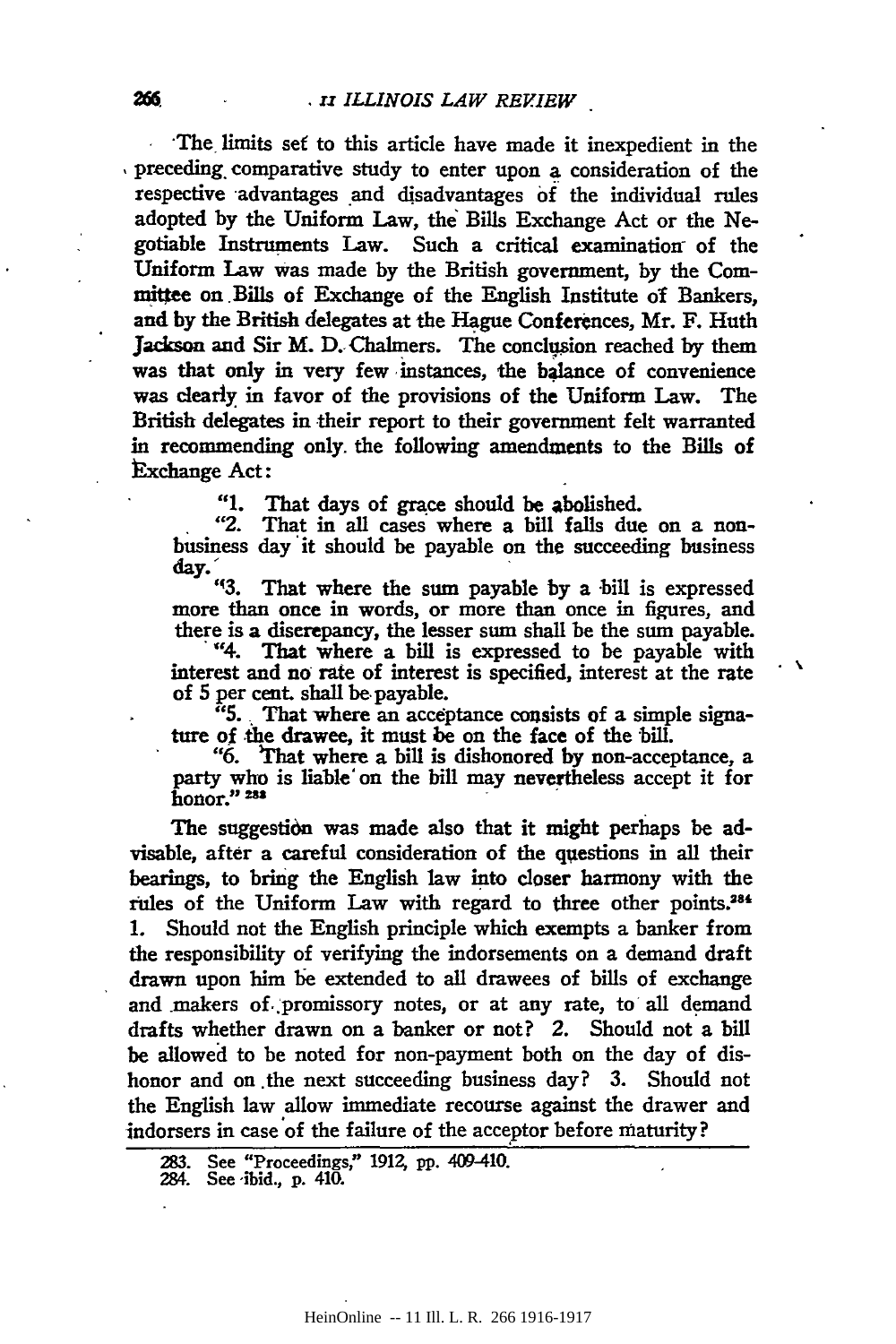·The .limits *set* to this article have made it inexpedient in the , preceding, comparative study to enter upon a consideration of the respective advantages and disadvantages of the individual rules adopted by the Uniform Law, the' Bills Exchange Act or the Negotiable Instruments Law. Such a critical examination of the Uniform Law was made by the British government, by the Com mittee on Bills of Exchange of the English Institute of Bankers, and by the British delegates at the Hague Conferences, Mr. F. Huth Jackson and Sir M. D. Chalmers. The conclusion reached by them was that only in very few instances, the balance of convenience was clearly in favor of the provisions of the Uniform Law. The British delegates in their report to their government felt warranted in recommending only. the following amendments to the Bills of Exchange Act:

"1. That days of grace should be abolished.<br>"2. That in all cases where a bill falls due

That in all cases where a bill falls due on a nonbusiness day it should be payable on the succeeding business  $\frac{du}{dx}$ .

That where the sum payable by a bill is expressed more than once in words, or more than once in figures, and there is a discrepancy, the lesser sum shall be the sum payable. "4. That where a bill is expressed to be payable with

interest and no rate of interest is specified, interest at the rate  $\cdot$ of 5 per cent. shall be- payable.

"5 .. That where an acceptance consists of a simple signature of the drawee, it must be on the face of the bill.

"6. That where a bill is dishonored by non-acceptance, a party who is liable on the bill may nevertheless accept it for honor." 233

The suggestion was made also that it might perhaps be advisable, after a careful consideration of the questions in all their bearings, to bring the English law into closer harmony with the rules of the Uniform Law with regard to three other points.<sup>284</sup> 1. Should not the English principle which exempts a banker from the responsibility of verifying the indorsements on a demand draft drawn upon him be extended to all drawees of bills of exchange and makers of promissory notes, or at any rate, to all demand drafts whether drawn on a banker or not? 2. Should not a bill be allowed to be noted for non-payment both on the day of dishonor and on the next succeeding business day? 3. Should not the English law allow immediate recourse against the drawer and indorsers in case of the failure of the acceptor before maturity?

<sup>283.</sup> See "Proceedings," 1912, pp. 409-410.

<sup>284.</sup> See ·ibid., p. 410.